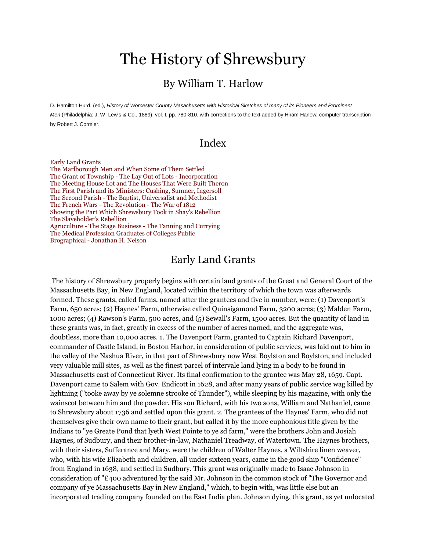# The History of Shrewsbury

### By William T. Harlow

D. Hamilton Hurd, (ed.), *History of Worcester County Masachusetts with Historical Sketches of many of its Pioneers and Prominent Men* (Philadelphia: J. W. Lewis & Co., 1889), vol. I, pp. 780-810. with corrections to the text added by Hiram Harlow; computer transcription by Robert J. Cormier.

### Index

[Early Land Grants](http://www.shrewsburyhistoricalsociety.org/history-1889/#part1)

[The Marlborough Men and When Some of Them Settled](http://www.shrewsburyhistoricalsociety.org/history-1889/#part2) [The Grant of Township -](http://www.shrewsburyhistoricalsociety.org/history-1889/#part3) The Lay Out of Lots - Incorporation [The Meeting House Lot and The Houses That Were Built Theron](http://www.shrewsburyhistoricalsociety.org/history-1889/#part4) [The First Parish and its Ministers: Cushing, Sumner, Ingersoll](http://www.shrewsburyhistoricalsociety.org/history-1889/#part5) The Second Parish - [The Baptist, Universalist and Methodist](http://www.shrewsburyhistoricalsociety.org/history-1889/#part6) [The French Wars -](http://www.shrewsburyhistoricalsociety.org/history-1889/#part7) The Revolution - The War of 1812 [Showing the Part Which Shrewsbury Took in Shay's Rebellion](http://www.shrewsburyhistoricalsociety.org/history-1889/#part8) [The Slaveholder's Rebellion](http://www.shrewsburyhistoricalsociety.org/history-1889/#part9) Agruculture - The Stage Business - [The Tanning and Currying](http://www.shrewsburyhistoricalsociety.org/history-1889/#part10) [The Medical Profession Graduates of Colleges Public](http://www.shrewsburyhistoricalsociety.org/history-1889/#part11) Brographical - [Jonathan H. Nelson](http://www.shrewsburyhistoricalsociety.org/history-1889/#part12)

### Early Land Grants

The history of Shrewsbury properly begins with certain land grants of the Great and General Court of the Massachusetts Bay, in New England, located within the territory of which the town was afterwards formed. These grants, called farms, named after the grantees and five in number, were: (1) Davenport's Farm, 650 acres; (2) Haynes' Farm, otherwise called Quinsigamond Farm, 3200 acres; (3) Malden Farm, 1000 acres; (4) Rawson's Farm, 500 acres, and (5) Sewall's Farm, 1500 acres. But the quantity of land in these grants was, in fact, greatly in excess of the number of acres named, and the aggregate was, doubtless, more than 10,000 acres. 1. The Davenport Farm, granted to Captain Richard Davenport, commander of Castle Island, in Boston Harbor, in consideration of public services, was laid out to him in the valley of the Nashua River, in that part of Shrewsbury now West Boylston and Boylston, and included very valuable mill sites, as well as the finest parcel of intervale land lying in a body to be found in Massachusetts east of Connecticut River. Its final confirmation to the grantee was May 28, 1659. Capt. Davenport came to Salem with Gov. Endicott in 1628, and after many years of public service wag killed by lightning ("tooke away by ye solemne strooke of Thunder"), while sleeping by his magazine, with only the wainscot between him and the powder. His son Richard, with his two sons, William and Nathaniel, came to Shrewsbury about 1736 and settled upon this grant. 2. The grantees of the Haynes' Farm, who did not themselves give their own name to their grant, but called it by the more euphonious title given by the Indians to "ye Greate Pond that lyeth West Pointe to ye sd farm," were the brothers John and Josiah Haynes, of Sudbury, and their brother-in-law, Nathaniel Treadway, of Watertown. The Haynes brothers, with their sisters, Sufferance and Mary, were the children of Walter Haynes, a Wiltshire linen weaver, who, with his wife Elizabeth and children, all under sixteen years, came in the good ship "Confidence" from England in 1638, and settled in Sudbury. This grant was originally made to Isaac Johnson in consideration of "£400 adventured by the said Mr. Johnson in the common stock of "The Governor and company of ye Massachusetts Bay in New England," which, to begin with, was little else but an incorporated trading company founded on the East India plan. Johnson dying, this grant, as yet unlocated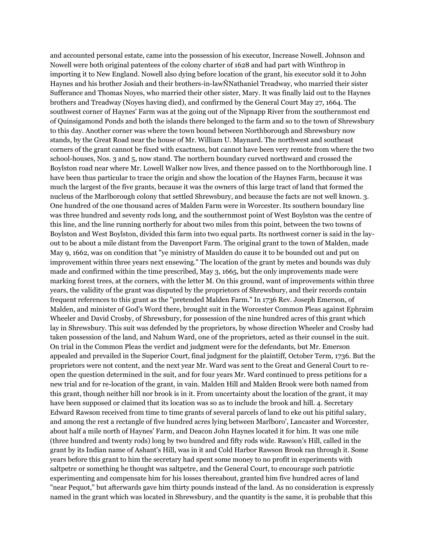and accounted personal estate, came into the possession of his executor, Increase Nowell. Johnson and Nowell were both original patentees of the colony charter of 1628 and had part with Winthrop in importing it to New England. Nowell also dying before location of the grant, his executor sold it to John Haynes and his brother Josiah and their brothers-in-lawÑNathaniel Treadway, who married their sister Sufferance and Thomas Noyes, who married their other sister, Mary. It was finally laid out to the Haynes brothers and Treadway (Noyes having died), and confirmed by the General Court May 27, 1664. The southwest corner of Haynes' Farm was at the going out of the Nipnapp River from the southernmost end of Quinsigamond Ponds and both the islands there belonged to the farm and so to the town of Shrewsbury to this day. Another corner was where the town bound between Northborough and Shrewsbury now stands, by the Great Road near the house of Mr. William U. Maynard. The northwest and southeast corners of the grant cannot be fixed with exactness, but cannot have been very remote from where the two school-houses, Nos. 3 and 5, now stand. The northern boundary curved northward and crossed the Boylston road near where Mr. Lowell Walker now lives, and thence passed on to the Northborough line. I have been thus particular to trace the origin and show the location of the Haynes Farm, because it was much the largest of the five grants, because it was the owners of this large tract of land that formed the nucleus of the Marlborough colony that settled Shrewsbury, and because the facts are not well known. 3. One hundred of the one thousand acres of Malden Farm were in Worcester. Its southern boundary line was three hundred and seventy rods long, and the southernmost point of West Boylston was the centre of this line, and the line running northerly for about two miles from this point, between the two towns of Boylston and West Boylston, divided this farm into two equal parts. Its northwest corner is said in the layout to be about a mile distant from the Davenport Farm. The original grant to the town of Malden, made May 9, 1662, was on condition that "ye ministry of Maulden do cause it to be bounded out and put on improvement within three years next ensewing." The location of the grant by metes and bounds was duly made and confirmed within the time prescribed, May 3, 1665, but the only improvements made were marking forest trees, at the corners, with the letter M. On this ground, want of improvements within three years, the validity of the grant was disputed by the proprietors of Shrewsbury, and their records contain frequent references to this grant as the "pretended Malden Farm." In 1736 Rev. Joseph Emerson, of Malden, and minister of God's Word there, brought suit in the Worcester Common Pleas against Ephraim Wheeler and David Crosby, of Shrewsbury, for possession of the nine hundred acres of this grant which lay in Shrewsbury. This suit was defended by the proprietors, by whose direction Wheeler and Crosby had taken possession of the land, and Nahum Ward, one of the proprietors, acted as their counsel in the suit. On trial in the Common Pleas the verdict and judgment were for the defendants, but Mr. Emerson appealed and prevailed in the Superior Court, final judgment for the plaintiff, October Term, 1736. But the proprietors were not content, and the next year Mr. Ward was sent to the Great and General Court to reopen the question determined in the suit, and for four years Mr. Ward continued to press petitions for a new trial and for re-location of the grant, in vain. Malden Hill and Malden Brook were both named from this grant, though neither hill nor brook is in it. From uncertainty about the location of the grant, it may have been supposed or claimed that its location was so as to include the brook and hill. 4. Secretary Edward Rawson received from time to time grants of several parcels of land to eke out his pitiful salary, and among the rest a rectangle of five hundred acres lying between Marlboro', Lancaster and Worcester, about half a mile north of Haynes' Farm, and Deacon John Haynes located it for him. It was one mile (three hundred and twenty rods) long by two hundred and fifty rods wide. Rawson's Hill, called in the grant by its Indian name of Ashant's Hill, was in it and Cold Harbor Rawson Brook ran through it. Some years before this grant to him the secretary had spent some money to no profit in experiments with saltpetre or something he thought was saltpetre, and the General Court, to encourage such patriotic experimenting and compensate him for his losses thereabout, granted him five hundred acres of land "near Pequot," but afterwards gave him thirty pounds instead of the land. As no consideration is expressly named in the grant which was located in Shrewsbury, and the quantity is the same, it is probable that this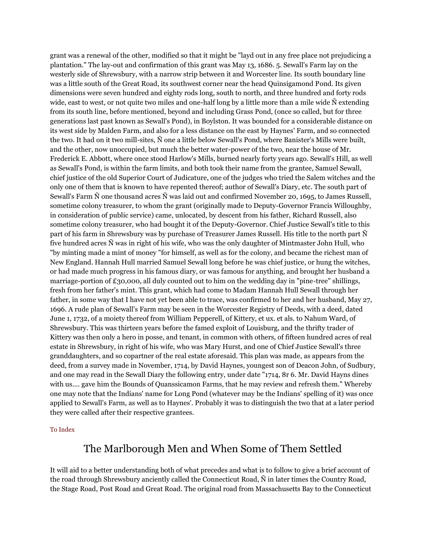grant was a renewal of the other, modified so that it might be "layd out in any free place not prejudicing a plantation." The lay-out and confirmation of this grant was May 13, 1686. 5. Sewall's Farm lay on the westerly side of Shrewsbury, with a narrow strip between it and Worcester line. Its south boundary line was a little south of the Great Road, its southwest corner near the head Quinsigamond Pond. Its given dimensions were seven hundred and eighty rods long, south to north, and three hundred and forty rods wide, east to west, or not quite two miles and one-half long by a little more than a mile wide  $\tilde{N}$  extending from its south line, before mentioned, beyond and including Grass Pond, (once so called, but for three generations last past known as Sewall's Pond), in Boylston. It was bounded for a considerable distance on its west side by Malden Farm, and also for a less distance on the east by Haynes' Farm, and so connected the two. It had on it two mill-sites, Ñ one a little below Sewall's Pond, where Banister's Mills were built, and the other, now unoccupied, but much the better water-power of the two, near the house of Mr. Frederick E. Abbott, where once stood Harlow's Mills, burned nearly forty years ago. Sewall's Hill, as well as Sewall's Pond, is within the farm limits, and both took their name from the grantee, Samuel Sewall, chief justice of the old Superior Court of Judicature, one of the judges who tried the Salem witches and the only one of them that is known to have repented thereof; author of Sewall's Diary, etc. The south part of Sewall's Farm Ñ one thousand acres Ñ was laid out and confirmed November 20, 1695, to James Russell, sometime colony treasurer, to whom the grant (originally made to Deputy-Governor Francis Willoughby, in consideration of public service) came, unlocated, by descent from his father, Richard Russell, also sometime colony treasurer, who had bought it of the Deputy-Governor. Chief Justice Sewall's title to this part of his farm in Shrewsbury was by purchase of Treasurer James Russell. His title to the north part Ñ five hundred acres Ñ was in right of his wife, who was the only daughter of Mintmaster John Hull, who "by minting made a mint of money "for himself, as well as for the colony, and became the richest man of New England. Hannah Hull married Samuel Sewall long before he was chief justice, or hung the witches, or had made much progress in his famous diary, or was famous for anything, and brought her husband a marriage-portion of  $\pounds$ 30,000, all duly counted out to him on the wedding day in "pine-tree" shillings, fresh from her father's mint. This grant, which had come to Madam Hannah Hull Sewall through her father, in some way that I have not yet been able to trace, was confirmed to her and her husband, May 27, 1696. A rude plan of Sewall's Farm may be seen in the Worcester Registry of Deeds, with a deed, dated June 1, 1732, of a moiety thereof from William Pepperell, of Kittery, et ux. et als. to Nahum Ward, of Shrewsbury. This was thirteen years before the famed exploit of Louisburg, and the thrifty trader of Kittery was then only a hero in posse, and tenant, in common with others, of fifteen hundred acres of real estate in Shrewsbury, in right of his wife, who was Mary Hurst, and one of Chief Justice Sewall's three granddaughters, and so copartner of the real estate aforesaid. This plan was made, as appears from the deed, from a survey made in November, 1714, by David Haynes, youngest son of Deacon John, of Sudbury, and one may read in the Sewall Diary the following entry, under date "1714, 8r 6. Mr. David Hayns dines with us.... gave him the Bounds of Quanssicamon Farms, that he may review and refresh them." Whereby one may note that the Indians' name for Long Pond (whatever may be the Indians' spelling of it) was once applied to Sewall's Farm, as well as to Haynes'. Probably it was to distinguish the two that at a later period they were called after their respective grantees.

#### [To Index](http://www.shrewsburyhistoricalsociety.org/history-1889/#index)

### The Marlborough Men and When Some of Them Settled

It will aid to a better understanding both of what precedes and what is to follow to give a brief account of the road through Shrewsbury anciently called the Connecticut Road, Ñ in later times the Country Road, the Stage Road, Post Road and Great Road. The original road from Massachusetts Bay to the Connecticut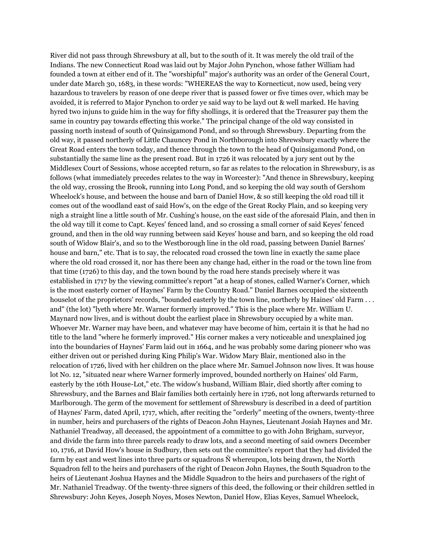River did not pass through Shrewsbury at all, but to the south of it. It was merely the old trail of the Indians. The new Connecticut Road was laid out by Major John Pynchon, whose father William had founded a town at either end of it. The "worshipful" major's authority was an order of the General Court, under date March 30, 1683, in these words: "WHEREAS the way to Kornecticut, now used, being very hazardous to travelers by reason of one deepe river that is passed fower or five times over, which may be avoided, it is referred to Major Pynchon to order ye said way to be layd out & well marked. He having hyred two injuns to guide him in the way for fifty shollings, it is ordered that the Treasurer pay them the same in country pay towards effecting this worke." The principal change of the old way consisted in passing north instead of south of Quinsigamond Pond, and so through Shrewsbury. Departing from the old way, it passed northerly of Little Chauncey Pond in Northborough into Shrewsbury exactly where the Great Road enters the town today, and thence through the town to the head of Quinsigamond Pond, on substantially the same line as the present road. But in 1726 it was relocated by a jury sent out by the Middlesex Court of Sessions, whose accepted return, so far as relates to the relocation in Shrewsbury, is as follows (what immediately precedes relates to the way in Worcester): "And thence in Shrewsbury, keeping the old way, crossing the Brook, running into Long Pond, and so keeping the old way south of Gershom Wheelock's house, and between the house and barn of Daniel How, & so still keeping the old road till it comes out of the woodland east of said How's, on the edge of the Great Rocky Plain, and so keeping very nigh a straight line a little south of Mr. Cushing's house, on the east side of the aforesaid Plain, and then in the old way till it come to Capt. Keyes' fenced land, and so crossing a small corner of said Keyes' fenced ground, and then in the old way running between said Keyes' house and barn, and so keeping the old road south of Widow Blair's, and so to the Westborough line in the old road, passing between Daniel Barnes' house and barn," etc. That is to say, the relocated road crossed the town line in exactly the same place where the old road crossed it, nor has there been any change had, either in the road or the town line from that time (1726) to this day, and the town bound by the road here stands precisely where it was established in 1717 by the viewing committee's report "at a heap of stones, called Warner's Corner, which is the most easterly corner of Haynes' Farm by the Country Road." Daniel Barnes occupied the sixteenth houselot of the proprietors' records, "bounded easterly by the town line, northerly by Haines' old Farm . . . and" (the lot) "lyeth where Mr. Warner formerly improved." This is the place where Mr. William U. Maynard now lives, and is without doubt the earliest place in Shrewsbury occupied by a white man. Whoever Mr. Warner may have been, and whatever may have become of him, certain it is that he had no title to the land "where he formerly improved." His corner makes a very noticeable and unexplained jog into the boundaries of Haynes' Farm laid out in 1664, and he was probably some daring pioneer who was either driven out or perished during King Philip's War. Widow Mary Blair, mentioned also in the relocation of 1726, lived with her children on the place where Mr. Samuel Johnson now lives. It was house lot No. 12, "situated near where Warner formerly improved, bounded northerly on Haines' old Farm, easterly by the 16th House-Lot," etc. The widow's husband, William Blair, died shortly after coming to Shrewsbury, and the Barnes and Blair families both certainly here in 1726, not long afterwards returned to Marlborough. The germ of the movement for settlement of Shrewsbury is described in a deed of partition of Haynes' Farm, dated April, 1717, which, after reciting the "orderly" meeting of the owners, twenty-three in number, heirs and purchasers of the rights of Deacon John Haynes, Lieutenant Josiah Haynes and Mr. Nathaniel Treadway, all deceased, the appointment of a committee to go with John Brigham, surveyor, and divide the farm into three parcels ready to draw lots, and a second meeting of said owners December 10, 1716, at David How's house in Sudbury, then sets out the committee's report that they had divided the farm by east and west lines into three parts or squadrons Ñ whereupon, lots being drawn, the North Squadron fell to the heirs and purchasers of the right of Deacon John Haynes, the South Squadron to the heirs of Lieutenant Joshua Haynes and the Middle Squadron to the heirs and purchasers of the right of Mr. Nathaniel Treadway. Of the twenty-three signers of this deed, the following or their children settled in Shrewsbury: John Keyes, Joseph Noyes, Moses Newton, Daniel How, Elias Keyes, Samuel Wheelock,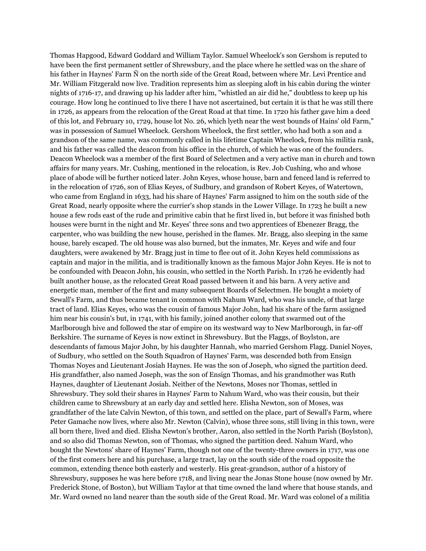Thomas Hapgood, Edward Goddard and William Taylor. Samuel Wheelock's son Gershom is reputed to have been the first permanent settler of Shrewsbury, and the place where he settled was on the share of his father in Haynes' Farm Ñ on the north side of the Great Road, between where Mr. Levi Prentice and Mr. William Fitzgerald now live. Tradition represents him as sleeping aloft in his cabin during the winter nights of 1716-17, and drawing up his ladder after him, "whistled an air did he," doubtless to keep up his courage. How long he continued to live there I have not ascertained, but certain it is that he was still there in 1726, as appears from the relocation of the Great Road at that time. In 1720 his father gave him a deed of this lot, and February 10, 1729, house lot No. 26, which lyeth near the west bounds of Hains' old Farm," was in possession of Samuel Wheelock. Gershom Wheelock, the first settler, who had both a son and a grandson of the same name, was commonly called in his lifetime Captain Wheelock, from his militia rank, and his father was called the deacon from his office in the church, of which he was one of the founders. Deacon Wheelock was a member of the first Board of Selectmen and a very active man in church and town affairs for many years. Mr. Cushing, mentioned in the relocation, is Rev. Job Cushing, who and whose place of abode will be further noticed later. John Keyes, whose house, barn and fenced land is referred to in the relocation of 1726, son of Elias Keyes, of Sudbury, and grandson of Robert Keyes, of Watertown, who came from England in 1633, had his share of Haynes' Farm assigned to him on the south side of the Great Road, nearly opposite where the currier's shop stands in the Lower Village. In 1723 he built a new house a few rods east of the rude and primitive cabin that he first lived in, but before it was finished both houses were burnt in the night and Mr. Keyes' three sons and two apprentices of Ebenezer Bragg, the carpenter, who was building the new house, perished in the flames. Mr. Bragg, also sleeping in the same house, barely escaped. The old house was also burned, but the inmates, Mr. Keyes and wife and four daughters, were awakened by Mr. Bragg just in time to flee out of it. John Keyes held commissions as captain and major in the militia, and is traditionally known as the famous Major John Keyes. He is not to be confounded with Deacon John, his cousin, who settled in the North Parish. In 1726 he evidently had built another house, as the relocated Great Road passed between it and his barn. A very active and energetic man, member of the first and many subsequent Boards of Selectmen. He bought a moiety of Sewall's Farm, and thus became tenant in common with Nahum Ward, who was his uncle, of that large tract of land. Elias Keyes, who was the cousin of famous Major John, had his share of the farm assigned him near his cousin's but, in 1741, with his family, joined another colony that swarmed out of the Marlborough hive and followed the star of empire on its westward way to New Marlborough, in far-off Berkshire. The surname of Keyes is now extinct in Shrewsbury. But the Flaggs, of Boylston, are descendants of famous Major John, by his daughter Hannah, who married Gershom Flagg. Daniel Noyes, of Sudbury, who settled on the South Squadron of Haynes' Farm, was descended both from Ensign Thomas Noyes and Lieutenant Josiah Haynes. He was the son of Joseph, who signed the partition deed. His grandfather, also named Joseph, was the son of Ensign Thomas, and his grandmother was Ruth Haynes, daughter of Lieutenant Josiah. Neither of the Newtons, Moses nor Thomas, settled in Shrewsbury. They sold their shares in Haynes' Farm to Nahum Ward, who was their cousin, but their children came to Shrewsbury at an early day and settled here. Elisha Newton, son of Moses, was grandfather of the late Calvin Newton, of this town, and settled on the place, part of Sewall's Farm, where Peter Gamache now lives, where also Mr. Newton (Calvin), whose three sons, still living in this town, were all born there, lived and died. Elisha Newton's brother, Aaron, also settled in the North Parish (Boylston), and so also did Thomas Newton, son of Thomas, who signed the partition deed. Nahum Ward, who bought the Newtons' share of Haynes' Farm, though not one of the twenty-three owners in 1717, was one of the first comers here and his purchase, a large tract, lay on the south side of the road opposite the common, extending thence both easterly and westerly. His great-grandson, author of a history of Shrewsbury, supposes he was here before 1718, and living near the Jonas Stone house (now owned by Mr. Frederick Stone, of Boston), but William Taylor at that time owned the land where that house stands, and Mr. Ward owned no land nearer than the south side of the Great Road. Mr. Ward was colonel of a militia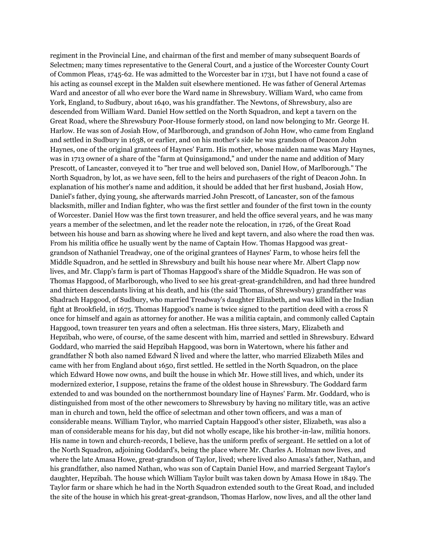regiment in the Provincial Line, and chairman of the first and member of many subsequent Boards of Selectmen; many times representative to the General Court, and a justice of the Worcester County Court of Common Pleas, 1745-62. He was admitted to the Worcester bar in 1731, but I have not found a case of his acting as counsel except in the Malden suit elsewhere mentioned. He was father of General Artemas Ward and ancestor of all who ever bore the Ward name in Shrewsbury. William Ward, who came from York, England, to Sudbury, about 1640, was his grandfather. The Newtons, of Shrewsbury, also are descended from William Ward. Daniel How settled on the North Squadron, and kept a tavern on the Great Road, where the Shrewsbury Poor-House formerly stood, on land now belonging to Mr. George H. Harlow. He was son of Josiah How, of Marlborough, and grandson of John How, who came from England and settled in Sudbury in 1638, or earlier, and on his mother's side he was grandson of Deacon John Haynes, one of the original grantees of Haynes' Farm. His mother, whose maiden name was Mary Haynes, was in 1713 owner of a share of the "farm at Quinsigamond," and under the name and addition of Mary Prescott, of Lancaster, conveyed it to "her true and well beloved son, Daniel How, of Marlborough." The North Squadron, by lot, as we have seen, fell to the heirs and purchasers of the right of Deacon John. In explanation of his mother's name and addition, it should be added that her first husband, Josiah How, Daniel's father, dying young, she afterwards married John Prescott, of Lancaster, son of the famous blacksmith, miller and Indian fighter, who was the first settler and founder of the first town in the county of Worcester. Daniel How was the first town treasurer, and held the office several years, and he was many years a member of the selectmen, and let the reader note the relocation, in 1726, of the Great Road between his house and barn as showing where he lived and kept tavern, and also where the road then was. From his militia office he usually went by the name of Captain How. Thomas Hapgood was greatgrandson of Nathaniel Treadway, one of the original grantees of Haynes' Farm, to whose heirs fell the Middle Squadron, and he settled in Shrewsbury and built his house near where Mr. Albert Clapp now lives, and Mr. Clapp's farm is part of Thomas Hapgood's share of the Middle Squadron. He was son of Thomas Hapgood, of Marlborough, who lived to see his great-great-grandchildren, and had three hundred and thirteen descendants living at his death, and his (the said Thomas, of Shrewsbury) grandfather was Shadrach Hapgood, of Sudbury, who married Treadway's daughter Elizabeth, and was killed in the Indian fight at Brookfield, in 1675. Thomas Hapgood's name is twice signed to the partition deed with a cross Ñ once for himself and again as attorney for another. He was a militia captain, and commonly called Captain Hapgood, town treasurer ten years and often a selectman. His three sisters, Mary, Elizabeth and Hepzibah, who were, of course, of the same descent with him, married and settled in Shrewsbury. Edward Goddard, who married the said Hepzibah Hapgood, was born in Watertown, where his father and grandfather Ñ both also named Edward Ñ lived and where the latter, who married Elizabeth Miles and came with her from England about 1650, first settled. He settled in the North Squadron, on the place which Edward Howe now owns, and built the house in which Mr. Howe still lives, and which, under its modernized exterior, I suppose, retains the frame of the oldest house in Shrewsbury. The Goddard farm extended to and was bounded on the northernmost boundary line of Haynes' Farm. Mr. Goddard, who is distinguished from most of the other newcomers to Shrewsbury by having no military title, was an active man in church and town, held the office of selectman and other town officers, and was a man of considerable means. William Taylor, who married Captain Hapgood's other sister, Elizabeth, was also a man of considerable means for his day, but did not wholly escape, like his brother-in-law, militia honors. His name in town and church-records, I believe, has the uniform prefix of sergeant. He settled on a lot of the North Squadron, adjoining Goddard's, being the place where Mr. Charles A. Holman now lives, and where the late Amasa Howe, great-grandson of Taylor, lived; where lived also Amasa's father, Nathan, and his grandfather, also named Nathan, who was son of Captain Daniel How, and married Sergeant Taylor's daughter, Hepzibah. The house which William Taylor built was taken down by Amasa Howe in 1849. The Taylor farm or share which he had in the North Squadron extended south to the Great Road, and included the site of the house in which his great-great-grandson, Thomas Harlow, now lives, and all the other land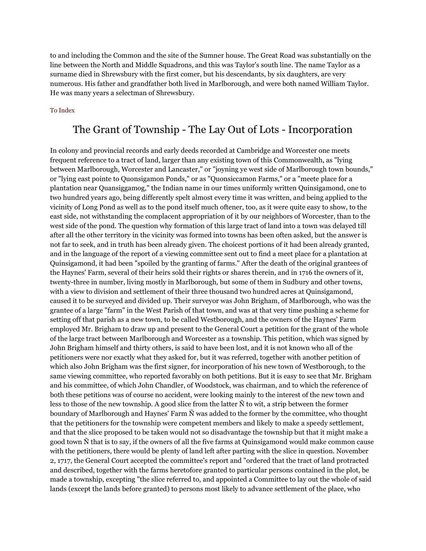to and including the Common and the site of the Sumner house. The Great Road was substantially on the line between the North and Middle Squadrons, and this was Taylor's south line. The name Taylor as a surname died in Shrewsbury with the first comer, but his descendants, by six daughters, are very numerous. His father and grandfather both lived in Marlborough, and were both named William Taylor. He was many years a selectman of Shrewsbury.

### [To Index](http://www.shrewsburyhistoricalsociety.org/history-1889/#index)

## The Grant of Township - The Lay Out of Lots - Incorporation

In colony and provincial records and early deeds recorded at Cambridge and Worcester one meets frequent reference to a tract of land, larger than any existing town of this Commonwealth, as "lying between Marlborough, Worcester and Lancaster," or "joyning ye west side of Marlborough town bounds," or "lying east pointe to Quonsigamon Ponds," or as "Quonsiccamon Farms," or a "meete place for a plantation near Quansiggamog," the Indian name in our times uniformly written Quinsigamond, one to two hundred years ago, being differently spelt almost every time it was written, and being applied to the vicinity of Long Pond as well as to the pond itself much oftener, too, as it were quite easy to show, to the east side, not withstanding the complacent appropriation of it by our neighbors of Worcester, than to the west side of the pond. The question why formation of this large tract of land into a town was delayed till after all the other territory in the vicinity was formed into towns has been often asked, but the answer is not far to seek, and in truth has been already given. The choicest portions of it had been already granted, and in the language of the report of a viewing committee sent out to find a meet place for a plantation at Quinsigamond, it had been "spoiled by the granting of farms." After the death of the original grantees of the Haynes' Farm, several of their heirs sold their rights or shares therein, and in 1716 the owners of it, twenty-three in number, living mostly in Marlborough, but some of them in Sudbury and other towns, with a view to division and settlement of their three thousand two hundred acres at Quinsigamond, caused it to be surveyed and divided up. Their surveyor was John Brigham, of Marlborough, who was the grantee of a large "farm" in the West Parish of that town, and was at that very time pushing a scheme for setting off that parish as a new town, to be called Westborough, and the owners of the Haynes' Farm employed Mr. Brigham to draw up and present to the General Court a petition for the grant of the whole of the large tract between Marlborough and Worcester as a township. This petition, which was signed by John Brigham himself and thirty others, is said to have been lost, and it is not known who all of the petitioners were nor exactly what they asked for, but it was referred, together with another petition of which also John Brigham was the first signer, for incorporation of his new town of Westborough, to the same viewing committee, who reported favorably on both petitions. But it is easy to see that Mr. Brigham and his committee, of which John Chandler, of Woodstock, was chairman, and to which the reference of both these petitions was of course no accident, were looking mainly to the interest of the new town and less to those of the new township. A good slice from the latter Ñ to wit, a strip between the former boundary of Marlborough and Haynes' Farm Ñ was added to the former by the committee, who thought that the petitioners for the township were competent members and likely to make a speedy settlement, and that the slice proposed to be taken would not so disadvantage the township but that it might make a good town Ñ that is to say, if the owners of all the five farms at Quinsigamond would make common cause with the petitioners, there would be plenty of land left after parting with the slice in question. November 2, 1717, the General Court accepted the committee's report and "ordered that the tract of land protracted and described, together with the farms heretofore granted to particular persons contained in the plot, be made a township, excepting "the slice referred to, and appointed a Committee to lay out the whole of said lands (except the lands before granted) to persons most likely to advance settlement of the place, who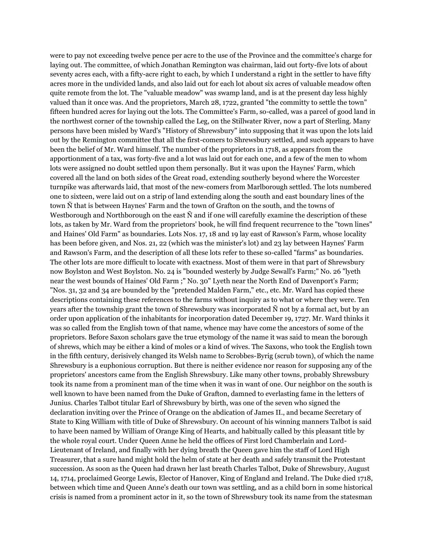were to pay not exceeding twelve pence per acre to the use of the Province and the committee's charge for laying out. The committee, of which Jonathan Remington was chairman, laid out forty-five lots of about seventy acres each, with a fifty-acre right to each, by which I understand a right in the settler to have fifty acres more in the undivided lands, and also laid out for each lot about six acres of valuable meadow often quite remote from the lot. The "valuable meadow" was swamp land, and is at the present day less highly valued than it once was. And the proprietors, March 28, 1722, granted "the committy to settle the town" fifteen hundred acres for laying out the lots. The Committee's Farm, so-called, was a parcel of good land in the northwest corner of the township called the Leg, on the Stillwater River, now a part of Sterling. Many persons have been misled by Ward's "History of Shrewsbury" into supposing that it was upon the lots laid out by the Remington committee that all the first-comers to Shrewsbury settled, and such appears to have been the belief of Mr. Ward himself. The number of the proprietors in 1718, as appears from the apportionment of a tax, was forty-five and a lot was laid out for each one, and a few of the men to whom lots were assigned no doubt settled upon them personally. But it was upon the Haynes' Farm, which covered all the land on both sides of the Great road, extending southerly beyond where the Worcester turnpike was afterwards laid, that most of the new-comers from Marlborough settled. The lots numbered one to sixteen, were laid out on a strip of land extending along the south and east boundary lines of the town Ñ that is between Haynes' Farm and the town of Grafton on the south, and the towns of Westborough and Northborough on the east  $\tilde{N}$  and if one will carefully examine the description of these lots, as taken by Mr. Ward from the proprietors' book, he will find frequent recurrence to the "town lines" and Haines' Old Farm" as boundaries. Lots Nos. 17, 18 and 19 lay east of Rawson's Farm, whose locality has been before given, and Nos. 21, 22 (which was the minister's lot) and 23 lay between Haynes' Farm and Rawson's Farm, and the description of all these lots refer to these so-called "farms" as boundaries. The other lots are more difficult to locate with exactness. Most of them were in that part of Shrewsbury now Boylston and West Boylston. No. 24 is "bounded westerly by Judge Sewall's Farm;" No. 26 "lyeth near the west bounds of Haines' Old Farm ;" No. 30" Lyeth near the North End of Davenport's Farm; "Nos. 31, 32 and 34 are bounded by the "pretended Malden Farm," etc., etc. Mr. Ward has copied these descriptions containing these references to the farms without inquiry as to what or where they were. Ten years after the township grant the town of Shrewsbury was incorporated Ñ not by a formal act, but by an order upon application of the inhabitants for incorporation dated December 19, 1727. Mr. Ward thinks it was so called from the English town of that name, whence may have come the ancestors of some of the proprietors. Before Saxon scholars gave the true etymology of the name it was said to mean the borough of shrews, which may be either a kind of moles or a kind of wives. The Saxons, who took the English town in the fifth century, derisively changed its Welsh name to Scrobbes-Byrig (scrub town), of which the name Shrewsbury is a euphonious corruption. But there is neither evidence nor reason for supposing any of the proprietors' ancestors came from the English Shrewsbury. Like many other towns, probably Shrewsbury took its name from a prominent man of the time when it was in want of one. Our neighbor on the south is well known to have been named from the Duke of Grafton, damned to everlasting fame in the letters of Junius. Charles Talbot titular Earl of Shrewsbury by birth, was one of the seven who signed the declaration inviting over the Prince of Orange on the abdication of James II., and became Secretary of State to King William with title of Duke of Shrewsbury. On account of his winning manners Talbot is said to have been named by William of Orange King of Hearts, and habitually called by this pleasant title by the whole royal court. Under Queen Anne he held the offices of First lord Chamberlain and Lord-Lieutenant of Ireland, and finally with her dying breath the Queen gave him the staff of Lord High Treasurer, that a sure hand might hold the helm of state at her death and safely transmit the Protestant succession. As soon as the Queen had drawn her last breath Charles Talbot, Duke of Shrewsbury, August 14, 1714, proclaimed George Lewis, Elector of Hanover, King of England and Ireland. The Duke died 1718, between which time and Queen Anne's death our town was settling, and as a child born in some historical crisis is named from a prominent actor in it, so the town of Shrewsbury took its name from the statesman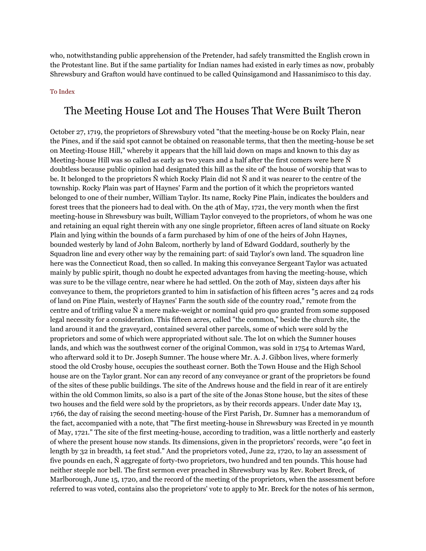who, notwithstanding public apprehension of the Pretender, had safely transmitted the English crown in the Protestant line. But if the same partiality for Indian names had existed in early times as now, probably Shrewsbury and Grafton would have continued to be called Quinsigamond and Hassanimisco to this day.

#### [To Index](http://www.shrewsburyhistoricalsociety.org/history-1889/#index)

### The Meeting House Lot and The Houses That Were Built Theron

October 27, 1719, the proprietors of Shrewsbury voted "that the meeting-house be on Rocky Plain, near the Pines, and if the said spot cannot be obtained on reasonable terms, that then the meeting-house be set on Meeting-House Hill," whereby it appears that the hill laid down on maps and known to this day as Meeting-house Hill was so called as early as two years and a half after the first comers were here Ñ doubtless because public opinion had designated this hill as the site of' the house of worship that was to be. It belonged to the proprietors Ñ which Rocky Plain did not Ñ and it was nearer to the centre of the township. Rocky Plain was part of Haynes' Farm and the portion of it which the proprietors wanted belonged to one of their number, William Taylor. Its name, Rocky Pine Plain, indicates the boulders and forest trees that the pioneers had to deal with. On the 4th of May, 1721, the very month when the first meeting-house in Shrewsbury was built, William Taylor conveyed to the proprietors, of whom he was one and retaining an equal right therein with any one single proprietor, fifteen acres of land situate on Rocky Plain and lying within the bounds of a farm purchased by him of one of the heirs of John Haynes, bounded westerly by land of John Balcom, northerly by land of Edward Goddard, southerly by the Squadron line and every other way by the remaining part: of said Taylor's own land. The squadron line here was the Connecticut Road, then so called. In making this conveyance Sergeant Taylor was actuated mainly by public spirit, though no doubt he expected advantages from having the meeting-house, which was sure to be the village centre, near where he had settled. On the 20th of May, sixteen days after his conveyance to them, the proprietors granted to him in satisfaction of his fifteen acres "5 acres and 24 rods of land on Pine Plain, westerly of Haynes' Farm the south side of the country road," remote from the centre and of trifling value Ñ a mere make-weight or nominal quid pro quo granted from some supposed legal necessity for a consideration. This fifteen acres, called "the common," beside the church site, the land around it and the graveyard, contained several other parcels, some of which were sold by the proprietors and some of which were appropriated without sale. The lot on which the Sumner houses lands, and which was the southwest corner of the original Common, was sold in 1754 to Artemas Ward, who afterward sold it to Dr. Joseph Sumner. The house where Mr. A. J. Gibbon lives, where formerly stood the old Crosby house, occupies the southeast corner. Both the Town House and the High School house are on the Taylor grant. Nor can any record of any conveyance or grant of the proprietors be found of the sites of these public buildings. The site of the Andrews house and the field in rear of it are entirely within the old Common limits, so also is a part of the site of the Jonas Stone house, but the sites of these two houses and the field were sold by the proprietors, as by their records appears. Under date May 13, 1766, the day of raising the second meeting-house of the First Parish, Dr. Sumner has a memorandum of the fact, accompanied with a note, that "The first meeting-house in Shrewsbury was Erected in ye mounth of May, 1721." The site of the first meeting-house, according to tradition, was a little northerly and easterly of where the present house now stands. Its dimensions, given in the proprietors' records, were "40 feet in length by 32 in breadth, 14 feet stud." And the proprietors voted, June 22, 1720, to lay an assessment of five pounds en each, Ñ aggregate of forty-two proprietors, two hundred and ten pounds. This house had neither steeple nor bell. The first sermon ever preached in Shrewsbury was by Rev. Robert Breck, of Marlborough, June 15, 1720, and the record of the meeting of the proprietors, when the assessment before referred to was voted, contains also the proprietors' vote to apply to Mr. Breck for the notes of his sermon,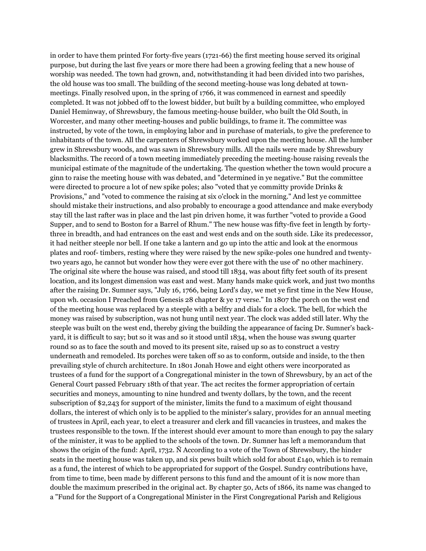in order to have them printed For forty-five years (1721-66) the first meeting house served its original purpose, but during the last five years or more there had been a growing feeling that a new house of worship was needed. The town had grown, and, notwithstanding it had been divided into two parishes, the old house was too small. The building of the second meeting-house was long debated at townmeetings. Finally resolved upon, in the spring of 1766, it was commenced in earnest and speedily completed. It was not jobbed off to the lowest bidder, but built by a building committee, who employed Daniel Heminway, of Shrewsbury, the famous meeting-house builder, who built the Old South, in Worcester, and many other meeting-houses and public buildings, to frame it. The committee was instructed, by vote of the town, in employing labor and in purchase of materials, to give the preference to inhabitants of the town. All the carpenters of Shrewsbury worked upon the meeting house. All the lumber grew in Shrewsbury woods, and was sawn in Shrewsbury mills. All the nails were made by Shrewsbury blacksmiths. The record of a town meeting immediately preceding the meeting-house raising reveals the municipal estimate of the magnitude of the undertaking. The question whether the town would procure a ginn to raise the meeting house with was debated, and "determined in ye negative." But the committee were directed to procure a lot of new spike poles; also "voted that ye committy provide Drinks & Provisions," and "voted to commence the raising at six o'clock in the morning." And lest ye committee should mistake their instructions, and also probably to encourage a good attendance and make everybody stay till the last rafter was in place and the last pin driven home, it was further "voted to provide a Good Supper, and to send to Boston for a Barrel of Rhum." The new house was fifty-five feet in length by fortythree in breadth, and had entrances on the east and west ends and on the south side. Like its predecessor, it had neither steeple nor bell. If one take a lantern and go up into the attic and look at the enormous plates and roof- timbers, resting where they were raised by the new spike-poles one hundred and twentytwo years ago, he cannot but wonder how they were ever got there with the use of' no other machinery. The original site where the house was raised, and stood till 1834, was about fifty feet south of its present location, and its longest dimension was east and west. Many hands make quick work, and just two months after the raising Dr. Sumner says, "July 16, 1766, being Lord's day, we met ye first time in the New House, upon wh. occasion I Preached from Genesis 28 chapter & ye 17 verse." In 1807 the porch on the west end of the meeting house was replaced by a steeple with a belfry and dials for a clock. The bell, for which the money was raised by subscription, was not hung until next year. The clock was added still later. Why the steeple was built on the west end, thereby giving the building the appearance of facing Dr. Sumner's backyard, it is difficult to say; but so it was and so it stood until 1834, when the house was swung quarter round so as to face the south and moved to its present site, raised up so as to construct a vestry underneath and remodeled. Its porches were taken off so as to conform, outside and inside, to the then prevailing style of church architecture. In 1801 Jonah Howe and eight others were incorporated as trustees of a fund for the support of a Congregational minister in the town of Shrewsbury, by an act of the General Court passed February 18th of that year. The act recites the former appropriation of certain securities and moneys, amounting to nine hundred and twenty dollars, by the town, and the recent subscription of \$2,243 for support of the minister, limits the fund to a maximum of eight thousand dollars, the interest of which only is to be applied to the minister's salary, provides for an annual meeting of trustees in April, each year, to elect a treasurer and clerk and fill vacancies in trustees, and makes the trustees responsible to the town. If the interest should ever amount to more than enough to pay the salary of the minister, it was to be applied to the schools of the town. Dr. Sumner has left a memorandum that shows the origin of the fund: April, 1732. Ñ According to a vote of the Town of Shrewsbury, the hinder seats in the meeting house was taken up, and six pews built which sold for about  $£140$ , which is to remain as a fund, the interest of which to be appropriated for support of the Gospel. Sundry contributions have, from time to time, been made by different persons to this fund and the amount of it is now more than double the maximum prescribed in the original act. By chapter 50, Acts of 1866, its name was changed to a "Fund for the Support of a Congregational Minister in the First Congregational Parish and Religious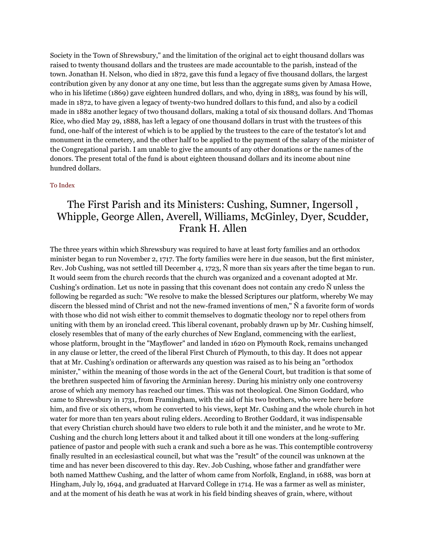Society in the Town of Shrewsbury," and the limitation of the original act to eight thousand dollars was raised to twenty thousand dollars and the trustees are made accountable to the parish, instead of the town. Jonathan H. Nelson, who died in 1872, gave this fund a legacy of five thousand dollars, the largest contribution given by any donor at any one time, but less than the aggregate sums given by Amasa Howe, who in his lifetime (1869) gave eighteen hundred dollars, and who, dying in 1883, was found by his will, made in 1872, to have given a legacy of twenty-two hundred dollars to this fund, and also by a codicil made in 1882 another legacy of two thousand dollars, making a total of six thousand dollars. And Thomas Rice, who died May 29, 1888, has left a legacy of one thousand dollars in trust with the trustees of this fund, one-half of the interest of which is to be applied by the trustees to the care of the testator's lot and monument in the cemetery, and the other half to be applied to the payment of the salary of the minister of the Congregational parish. I am unable to give the amounts of any other donations or the names of the donors. The present total of the fund is about eighteen thousand dollars and its income about nine hundred dollars.

#### [To Index](http://www.shrewsburyhistoricalsociety.org/history-1889/#index)

## The First Parish and its Ministers: Cushing, Sumner, Ingersoll , Whipple, George Allen, Averell, Williams, McGinley, Dyer, Scudder, Frank H. Allen

The three years within which Shrewsbury was required to have at least forty families and an orthodox minister began to run November 2, 1717. The forty families were here in due season, but the first minister, Rev. Job Cushing, was not settled till December 4, 1723, Ñ more than six years after the time began to run. It would seem from the church records that the church was organized and a covenant adopted at Mr. Cushing's ordination. Let us note in passing that this covenant does not contain any credo Ñ unless the following be regarded as such: "We resolve to make the blessed Scriptures our platform, whereby We may discern the blessed mind of Christ and not the new-framed inventions of men," Ñ a favorite form of words with those who did not wish either to commit themselves to dogmatic theology nor to repel others from uniting with them by an ironclad creed. This liberal covenant, probably drawn up by Mr. Cushing himself, closely resembles that of many of the early churches of New England, commencing with the earliest, whose platform, brought in the "Mayflower" and landed in 1620 on Plymouth Rock, remains unchanged in any clause or letter, the creed of the liberal First Church of Plymouth, to this day. It does not appear that at Mr. Cushing's ordination or afterwards any question was raised as to his being an "orthodox minister," within the meaning of those words in the act of the General Court, but tradition is that some of the brethren suspected him of favoring the Arminian heresy. During his ministry only one controversy arose of which any memory has reached our times. This was not theological. One Simon Goddard, who came to Shrewsbury in 1731, from Framingham, with the aid of his two brothers, who were here before him, and five or six others, whom he converted to his views, kept Mr. Cushing and the whole church in hot water for more than ten years about ruling elders. According to Brother Goddard, it was indispensable that every Christian church should have two elders to rule both it and the minister, and he wrote to Mr. Cushing and the church long letters about it and talked about it till one wonders at the long-suffering patience of pastor and people with such a crank and such a bore as he was. This contemptible controversy finally resulted in an ecclesiastical council, but what was the "result" of the council was unknown at the time and has never been discovered to this day. Rev. Job Cushing, whose father and grandfather were both named Matthew Cushing, and the latter of whom came from Norfolk, England, in 1688, was born at Hingham, July l9, 1694, and graduated at Harvard College in 1714. He was a farmer as well as minister, and at the moment of his death he was at work in his field binding sheaves of grain, where, without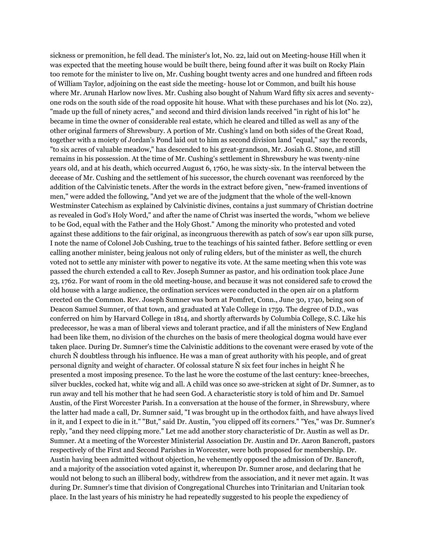sickness or premonition, he fell dead. The minister's lot, No. 22, laid out on Meeting-house Hill when it was expected that the meeting house would be built there, being found after it was built on Rocky Plain too remote for the minister to live on, Mr. Cushing bought twenty acres and one hundred and fifteen rods of William Taylor, adjoining on the east side the meeting- house lot or Common, and built his house where Mr. Arunah Harlow now lives. Mr. Cushing also bought of Nahum Ward fifty six acres and seventyone rods on the south side of the road opposite hit house. What with these purchases and his lot (No. 22), "made up the full of ninety acres," and second and third division lands received "in right of his lot" he became in time the owner of considerable real estate, which he cleared and tilled as well as any of the other original farmers of Shrewsbury. A portion of Mr. Cushing's land on both sides of the Great Road, together with a moiety of Jordan's Pond laid out to him as second division land "equal," say the records, "to six acres of valuable meadow," has descended to his great-grandson, Mr. Josiah G. Stone, and still remains in his possession. At the time of Mr. Cushing's settlement in Shrewsbury he was twenty-nine years old, and at his death, which occurred August 6, 1760, he was sixty-six. In the interval between the decease of Mr. Cushing and the settlement of his successor, the church covenant was reenforced by the addition of the Calvinistic tenets. After the words in the extract before given, "new-framed inventions of men," were added the following, "And yet we are of the judgment that the whole of the well-known Westminster Catechism as explained by Calvinistic divines, contains a just summary of Christian doctrine as revealed in God's Holy Word," and after the name of Christ was inserted the words, "whom we believe to be God, equal with the Father and the Holy Ghost." Among the minority who protested and voted against these additions to the fair original, as incongruous therewith as patch of sow's ear upon silk purse, I note the name of Colonel Job Cushing, true to the teachings of his sainted father. Before settling or even calling another minister, being jealous not only of ruling elders, but of the minister as well, the church voted not to settle any minister with power to negative its vote. At the same meeting when this vote was passed the church extended a call to Rev. Joseph Sumner as pastor, and his ordination took place June 23, 1762. For want of room in the old meeting-house, and because it was not considered safe to crowd the old house with a large audience, the ordination services were conducted in the open air on a platform erected on the Common. Rev. Joseph Sumner was born at Pomfret, Conn., June 30, 1740, being son of Deacon Samuel Sumner, of that town, and graduated at Yale College in 1759. The degree of D.D., was conferred on him by Harvard College in 1814, and shortly afterwards by Columbia College, S.C. Like his predecessor, he was a man of liberal views and tolerant practice, and if all the ministers of New England had been like them, no division of the churches on the basis of mere theological dogma would have ever taken place. During Dr. Sumner's time the Calvinistic additions to the covenant were erased by vote of the church Ñ doubtless through his influence. He was a man of great authority with his people, and of great personal dignity and weight of character. Of colossal stature Ñ six feet four inches in height Ñ he presented a most imposing presence. To the last he wore the costume of the last century: knee-breeches, silver buckles, cocked hat, white wig and all. A child was once so awe-stricken at sight of Dr. Sumner, as to run away and tell his mother that he had seen God. A characteristic story is told of him and Dr. Samuel Austin, of the First Worcester Parish. In a conversation at the house of the former, in Shrewsbury, where the latter had made a call, Dr. Sumner said, "I was brought up in the orthodox faith, and have always lived in it, and I expect to die in it." "But," said Dr. Austin, "you clipped off its corners." "Yes," was Dr. Sumner's reply, "and they need clipping more." Let me add another story characteristic of Dr. Austin as well as Dr. Sumner. At a meeting of the Worcester Ministerial Association Dr. Austin and Dr. Aaron Bancroft, pastors respectively of the First and Second Parishes in Worcester, were both proposed for membership. Dr. Austin having been admitted without objection, he vehemently opposed the admission of Dr. Bancroft, and a majority of the association voted against it, whereupon Dr. Sumner arose, and declaring that he would not belong to such an illiberal body, withdrew from the association, and it never met again. It was during Dr. Sumner's time that division of Congregational Churches into Trinitarian and Unitarian took place. In the last years of his ministry he had repeatedly suggested to his people the expediency of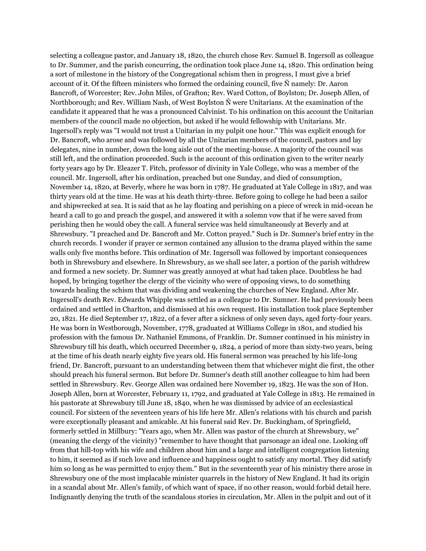selecting a colleague pastor, and January 18, 1820, the church chose Rev. Samuel B. Ingersoll as colleague to Dr. Summer, and the parish concurring, the ordination took place June 14, 1820. This ordination being a sort of milestone in the history of the Congregational schism then in progress, I must give a brief account of it. Of the fifteen ministers who formed the ordaining council, five Ñ namely: Dr. Aaron Bancroft, of Worcester; Rev. John Miles, of Grafton; Rev. Ward Cotton, of Boylston; Dr. Joseph Allen, of Northborough; and Rev. William Nash, of West Boylston Ñ were Unitarians. At the examination of the candidate it appeared that he was a pronounced Calvinist. To his ordination on this account the Unitarian members of the council made no objection, but asked if he would fellowship with Unitarians. Mr. Ingersoll's reply was "I would not trust a Unitarian in my pulpit one hour." This was explicit enough for Dr. Bancroft, who arose and was followed by all the Unitarian members of the council, pastors and lay delegates, nine in number, down the long aisle out of the meeting-house. A majority of the council was still left, and the ordination proceeded. Such is the account of this ordination given to the writer nearly forty years ago by Dr. Eleazer T. Fitch, professor of divinity in Yale College, who was a member of the council. Mr. Ingersoll, after his ordination, preached but one Sunday, and died of consumption, November 14, 1820, at Beverly, where he was born in 1787. He graduated at Yale College in 1817, and was thirty years old at the time. He was at his death thirty-three. Before going to college he had been a sailor and shipwrecked at sea. It is said that as he lay floating and perishing on a piece of wreck in mid-ocean he heard a call to go and preach the gospel, and answered it with a solemn vow that if he were saved from perishing then he would obey the call. A funeral service was held simultaneously at Beverly and at Shrewsbury. "I preached and Dr. Bancroft and Mr. Cotton prayed." Such is Dr. Sumner's brief entry in the church records. I wonder if prayer or sermon contained any allusion to the drama played within the same walls only five months before. This ordination of Mr. Ingersoll was followed by important consequences both in Shrewsbury and elsewhere. In Shrewsbury, as we shall see later, a portion of the parish withdrew and formed a new society. Dr. Sumner was greatly annoyed at what had taken place. Doubtless he had hoped, by bringing together the clergy of the vicinity who were of opposing views, to do something towards healing the schism that was dividing and weakening the churches of New England. After Mr. Ingersoll's death Rev. Edwards Whipple was settled as a colleague to Dr. Sumner. He had previously been ordained and settled in Charlton, and dismissed at his own request. His installation took place September 20, 1821. He died September 17, 1822, of a fever after a sickness of only seven days, aged forty-four years. He was born in Westborough, November, 1778, graduated at Williams College in 1801, and studied his profession with the famous Dr. Nathaniel Emmons, of Franklin. Dr. Sumner continued in his ministry in Shrewsbury till his death, which occurred December 9, 1824, a period of more than sixty-two years, being at the time of his death nearly eighty five years old. His funeral sermon was preached by his life-long friend, Dr. Bancroft, pursuant to an understanding between them that whichever might die first, the other should preach his funeral sermon. But before Dr. Sumner's death still another colleague to him had been settled in Shrewsbury. Rev. George Allen was ordained here November 19, 1823. He was the son of Hon. Joseph Allen, born at Worcester, February 11, 1792, and graduated at Yale College in 1813. He remained in his pastorate at Shrewsbury till June 18, 1840, when he was dismissed by advice of an ecclesiastical council. For sixteen of the seventeen years of his life here Mr. Allen's relations with his church and parish were exceptionally pleasant and amicable. At his funeral said Rev. Dr. Buckingham, of Springfield, formerly settled in Millbury: "Years ago, when Mr. Allen was pastor of the church at Shrewsbury, we" (meaning the clergy of the vicinity) "remember to have thought that parsonage an ideal one. Looking off from that hill-top with his wife and children about him and a large and intelligent congregation listening to him, it seemed as if such love and influence and happiness ought to satisfy any mortal. They did satisfy him so long as he was permitted to enjoy them." But in the seventeenth year of his ministry there arose in Shrewsbury one of the most implacable minister quarrels in the history of New England. It had its origin in a scandal about Mr. Allen's family, of which want of space, if no other reason, would forbid detail here. Indignantly denying the truth of the scandalous stories in circulation, Mr. Allen in the pulpit and out of it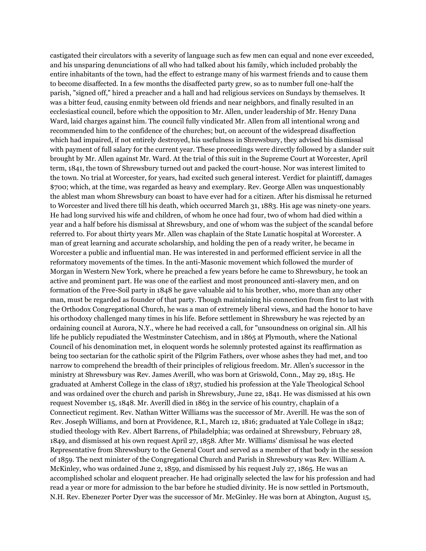castigated their circulators with a severity of language such as few men can equal and none ever exceeded, and his unsparing denunciations of all who had talked about his family, which included probably the entire inhabitants of the town, had the effect to estrange many of his warmest friends and to cause them to become disaffected. In a few months the disaffected party grew, so as to number full one-half the parish, "signed off," hired a preacher and a hall and had religious services on Sundays by themselves. It was a bitter feud, causing enmity between old friends and near neighbors, and finally resulted in an ecclesiastical council, before which the opposition to Mr. Allen, under leadership of Mr. Henry Dana Ward, laid charges against him. The council fully vindicated Mr. Allen from all intentional wrong and recommended him to the confidence of the churches; but, on account of the widespread disaffection which had impaired, if not entirely destroyed, his usefulness in Shrewsbury, they advised his dismissal with payment of full salary for the current year. These proceedings were directly followed by a slander suit brought by Mr. Allen against Mr. Ward. At the trial of this suit in the Supreme Court at Worcester, April term, 1841, the town of Shrewsbury turned out and packed the court-house. Nor was interest limited to the town. No trial at Worcester, for years, had excited such general interest. Verdict for plaintiff, damages \$700; which, at the time, was regarded as heavy and exemplary. Rev. George Allen was unquestionably the ablest man whom Shrewsbury can boast to have ever had for a citizen. After his dismissal he returned to Worcester and lived there till his death, which occurred March 31, 1883. His age was ninety-one years. He had long survived his wife and children, of whom he once had four, two of whom had died within a year and a half before his dismissal at Shrewsbury, and one of whom was the subject of the scandal before referred to. For about thirty years Mr. Allen was chaplain of the State Lunatic hospital at Worcester. A man of great learning and accurate scholarship, and holding the pen of a ready writer, he became in Worcester a public and influential man. He was interested in and performed efficient service in all the reformatory movements of the times. In the anti-Masonic movement which followed the murder of Morgan in Western New York, where he preached a few years before he came to Shrewsbury, he took an active and prominent part. He was one of the earliest and most pronounced anti-slavery men, and on formation of the Free-Soil party in 1848 he gave valuable aid to his brother, who, more than any other man, must be regarded as founder of that party. Though maintaining his connection from first to last with the Orthodox Congregational Church, he was a man of extremely liberal views, and had the honor to have his orthodoxy challenged many times in his life. Before settlement in Shrewsbury he was rejected by an ordaining council at Aurora, N.Y., where he had received a call, for "unsoundness on original sin. All his life he publicly repudiated the Westminster Catechism, and in 1865 at Plymouth, where the National Council of his denomination met, in eloquent words he solemnly protested against its reaffirmation as being too sectarian for the catholic spirit of the Pilgrim Fathers, over whose ashes they had met, and too narrow to comprehend the breadth of their principles of religious freedom. Mr. Allen's successor in the ministry at Shrewsbury was Rev. James Averill, who was born at Griswold, Conn., May 29, 1815. He graduated at Amherst College in the class of 1837, studied his profession at the Yale Theological School and was ordained over the church and parish in Shrewsbury, June 22, 1841. He was dismissed at his own request November 15, 1848. Mr. Averill died in 1863 in the service of his country, chaplain of a Connecticut regiment. Rev. Nathan Witter Williams was the successor of Mr. Averill. He was the son of Rev. Joseph Williams, and born at Providence, R.I., March 12, 1816; graduated at Yale College in 1842; studied theology with Rev. Albert Barrens, of Philadelphia; was ordained at Shrewsbury, February 28, 1849, and dismissed at his own request April 27, 1858. After Mr. Williams' dismissal he was elected Representative from Shrewsbury to the General Court and served as a member of that body in the session of 1859. The next minister of the Congregational Church and Parish in Shrewsbury was Rev. William A. McKinley, who was ordained June 2, 1859, and dismissed by his request July 27, 1865. He was an accomplished scholar and eloquent preacher. He had originally selected the law for his profession and had read a year or more for admission to the bar before he studied divinity. He is now settled in Portsmouth, N.H. Rev. Ebenezer Porter Dyer was the successor of Mr. McGinley. He was born at Abington, August 15,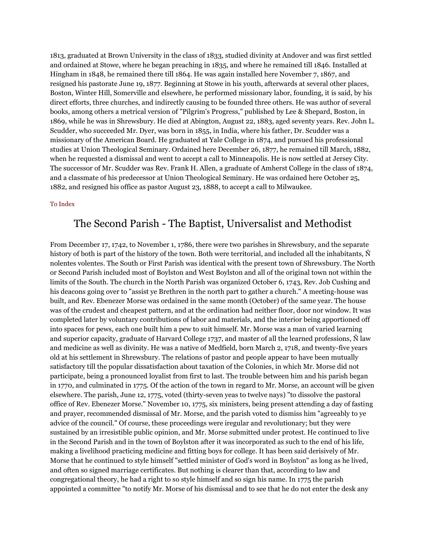1813, graduated at Brown University in the class of 1833, studied divinity at Andover and was first settled and ordained at Stowe, where he began preaching in 1835, and where he remained till 1846. Installed at Hingham in 1848, he remained there till 1864. He was again installed here November 7, 1867, and resigned his pastorate June 19, 1877. Beginning at Stowe in his youth, afterwards at several other places, Boston, Winter Hill, Somerville and elsewhere, he performed missionary labor, founding, it is said, by his direct efforts, three churches, and indirectly causing to be founded three others. He was author of several books, among others a metrical version of "Pilgrim's Progress," published by Lee & Shepard, Boston, in 1869, while he was in Shrewsbury. He died at Abington, August 22, 1883, aged seventy years. Rev. John L. Scudder, who succeeded Mr. Dyer, was born in 1855, in India, where his father, Dr. Scudder was a missionary of the American Board. He graduated at Yale College in 1874, and pursued his professional studies at Union Theological Seminary. Ordained here December 26, 1877, he remained till March, 1882, when he requested a dismissal and went to accept a call to Minneapolis. He is now settled at Jersey City. The successor of Mr. Scudder was Rev. Frank H. Allen, a graduate of Amherst College in the class of 1874, and a classmate of his predecessor at Union Theological Seminary. He was ordained here October 25, 1882, and resigned his office as pastor August 23, 1888, to accept a call to Milwaukee.

#### [To Index](http://www.shrewsburyhistoricalsociety.org/history-1889/#index)

### The Second Parish - The Baptist, Universalist and Methodist

From December 17, 1742, to November 1, 1786, there were two parishes in Shrewsbury, and the separate history of both is part of the history of the town. Both were territorial, and included all the inhabitants, Ñ nolentes volentes. The South or First Parish was identical with the present town of Shrewsbury. The North or Second Parish included most of Boylston and West Boylston and all of the original town not within the limits of the South. The church in the North Parish was organized October 6, 1743, Rev. Job Cushing and his deacons going over to "assist ye Brethren in the north part to gather a church." A meeting-house was built, and Rev. Ebenezer Morse was ordained in the same month (October) of the same year. The house was of the crudest and cheapest pattern, and at the ordination had neither floor, door nor window. It was completed later by voluntary contributions of labor and materials, and the interior being apportioned off into spaces for pews, each one built him a pew to suit himself. Mr. Morse was a man of varied learning and superior capacity, graduate of Harvard College 1737, and master of all the learned professions,  $\tilde{N}$  law and medicine as well as divinity. He was a native of Medfield, born March 2, 1718, and twenty-five years old at his settlement in Shrewsbury. The relations of pastor and people appear to have been mutually satisfactory till the popular dissatisfaction about taxation of the Colonies, in which Mr. Morse did not participate, being a pronounced loyalist from first to last. The trouble between him and his parish began in 1770, and culminated in 1775. Of the action of the town in regard to Mr. Morse, an account will be given elsewhere. The parish, June 12, 1775, voted (thirty-seven yeas to twelve nays) "to dissolve the pastoral office of Rev. Ebenezer Morse." November 10, 1775, six ministers, being present attending a day of fasting and prayer, recommended dismissal of Mr. Morse, and the parish voted to dismiss him "agreeably to ye advice of the council." Of course, these proceedings were iregular and revolutionary; but they were sustained by an irresistible public opinion, and Mr. Morse submitted under protest. He continued to live in the Second Parish and in the town of Boylston after it was incorporated as such to the end of his life, making a livelihood practicing medicine and fitting boys for college. It has been said derisively of Mr. Morse that he continued to style himself "settled minister of God's word in Boylston" as long as he lived, and often so signed marriage certificates. But nothing is clearer than that, according to law and congregational theory, he had a right to so style himself and so sign his name. In 1775 the parish appointed a committee "to notify Mr. Morse of his dismissal and to see that he do not enter the desk any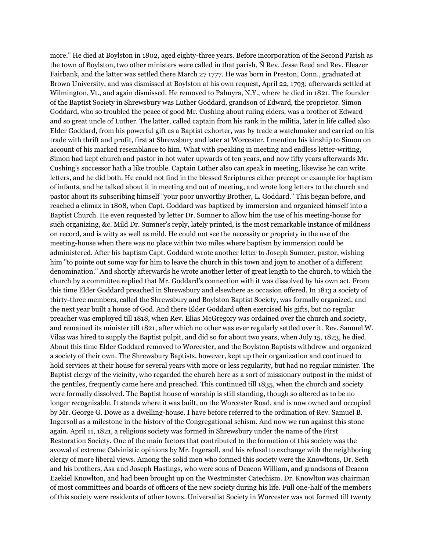more." He died at Boylston in 1802, aged eighty-three years. Before incorporation of the Second Parish as the town of Boylston, two other ministers were called in that parish, Ñ Rev. Jesse Reed and Rev. Eleazer Fairbank, and the latter was settled there March 27 1777. He was born in Preston, Conn., graduated at Brown University, and was dismissed at Boylston at his own request, April 22, 1793; afterwards settled at Wilmington, Vt., and again dismissed. He removed to Palmyra, N.Y., where he died in 1821. The founder of the Baptist Society in Shrewsbury was Luther Goddard, grandson of Edward, the proprietor. Simon Goddard, who so troubled the peace of good Mr. Cushing about ruling elders, was a brother of Edward and so great uncle of Luther. The latter, called captain from his rank in the militia, later in life called also Elder Goddard, from his powerful gift as a Baptist exhorter, was by trade a watchmaker and carried on his trade with thrift and profit, first at Shrewsbury and later at Worcester. I mention his kinship to Simon on account of his marked resemblance to him. What with speaking in meeting and endless letter-writing, Simon had kept church and pastor in hot water upwards of ten years, and now fifty years afterwards Mr. Cushing's successor hath a like trouble. Captain Luther also can speak in meeting, likewise he can write letters, and he did both. He could not find in the blessed Scriptures either precept or example for baptism of infants, and he talked about it in meeting and out of meeting, and wrote long letters to the church and pastor about its subscribing himself "your poor unworthy Brother, L. Goddard." This began before, and reached a climax in 1808, when Capt. Goddard was baptized by immersion and organized himself into a Baptist Church. He even requested by letter Dr. Sumner to allow him the use of his meeting-house for such organizing, &c. Mild Dr. Sumner's reply, lately printed, is the most remarkable instance of mildness on record, and is witty as well as mild. He could not see the necessity or propriety in the use of the meeting-house when there was no place within two miles where baptism by immersion could be administered. After his baptism Capt. Goddard wrote another letter to Joseph Sumner, pastor, wishing him "to pointe out some way for him to leave the church in this town and joyn to another of a different denomination." And shortly afterwards he wrote another letter of great length to the church, to which the church by a committee replied that Mr. Goddard's connection with it was dissolved by his own act. From this time Elder Goddard preached in Shrewsbury and elsewhere as occasion offered. In 1813 a society of thirty-three members, called the Shrewsbury and Boylston Baptist Society, was formally organized, and the next year built a house of God. And there Elder Goddard often exercised his gifts, but no regular preacher was employed till 1818, when Rev. Elias McGregory was ordained over the church and society, and remained its minister till 1821, after which no other was ever regularly settled over it. Rev. Samuel W. Vilas was hired to supply the Baptist pulpit, and did so for about two years, when July 15, 1823, he died. About this time Elder Goddard removed to Worcester, and the Boylston Baptists withdrew and organized a society of their own. The Shrewsbury Baptists, however, kept up their organization and continued to hold services at their house for several years with more or less regularity, but had no regular minister. The Baptist clergy of the vicinity, who regarded the church here as a sort of missionary outpost in the midst of the gentiles, frequently came here and preached. This continued till 1835, when the church and society were formally dissolved. The Baptist house of worship is still standing, though so altered as to be no longer recognizable. It stands where it was built, on the Worcester Road, and is now owned and occupied by Mr. George G. Dowe as a dwelling-house. I have before referred to the ordination of Rev. Samuel B. Ingersoll as a milestone in the history of the Congregational schism. And now we run against this stone again. April 11, 1821, a religious society was formed in Shrewsbury under the name of the First Restoration Society. One of the main factors that contributed to the formation of this society was the avowal of extreme Calvinistic opinions by Mr. Ingersoll, and his refusal to exchange with the neighboring clergy of more liberal views. Among the solid men who formed this society were the Knowltons, Dr. Seth and his brothers, Asa and Joseph Hastings, who were sons of Deacon William, and grandsons of Deacon Ezekiel Knowlton, and had been brought up on the Westminster Catechism. Dr. Knowlton was chairman of most committees and boards of officers of the new society during his life. Full one-half of the members of this society were residents of other towns. Universalist Society in Worcester was not formed till twenty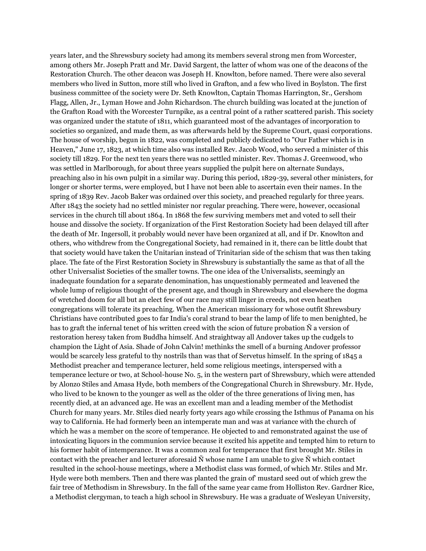years later, and the Shrewsbury society had among its members several strong men from Worcester, among others Mr. Joseph Pratt and Mr. David Sargent, the latter of whom was one of the deacons of the Restoration Church. The other deacon was Joseph H. Knowlton, before named. There were also several members who lived in Sutton, more still who lived in Grafton, and a few who lived in Boylston. The first business committee of the society were Dr. Seth Knowlton, Captain Thomas Harrington, Sr., Gershom Flagg, Allen, Jr., Lyman Howe and John Richardson. The church building was located at the junction of the Grafton Road with the Worcester Turnpike, as a central point of a rather scattered parish. This society was organized under the statute of 1811, which guaranteed most of the advantages of incorporation to societies so organized, and made them, as was afterwards held by the Supreme Court, quasi corporations. The house of worship, begun in 1822, was completed and publicly dedicated to "Our Father which is in Heaven," June 17, 1823, at which time also was installed Rev. Jacob Wood, who served a minister of this society till 1829. For the next ten years there was no settled minister. Rev. Thomas J. Greenwood, who was settled in Marlborough, for about three years supplied the pulpit here on alternate Sundays, preaching also in his own pulpit in a similar way. During this period, 1829-39, several other ministers, for longer or shorter terms, were employed, but I have not been able to ascertain even their names. In the spring of 1839 Rev. Jacob Baker was ordained over this society, and preached regularly for three years. After 1843 the society had no settled minister nor regular preaching. There were, however, occasional services in the church till about 1864. In 1868 the few surviving members met and voted to sell their house and dissolve the society. If organization of the First Restoration Society had been delayed till after the death of Mr. Ingersoll, it probably would never have been organized at all, and if Dr. Knowlton and others, who withdrew from the Congregational Society, had remained in it, there can be little doubt that that society would have taken the Unitarian instead of Trinitarian side of the schism that was then taking place. The fate of the First Restoration Society in Shrewsbury is substantially the same as that of all the other Universalist Societies of the smaller towns. The one idea of the Universalists, seemingly an inadequate foundation for a separate denomination, has unquestionably permeated and leavened the whole lump of religious thought of the present age, and though in Shrewsbury and elsewhere the dogma of wretched doom for all but an elect few of our race may still linger in creeds, not even heathen congregations will tolerate its preaching. When the American missionary for whose outfit Shrewsbury Christians have contributed goes to far India's coral strand to bear the lamp of life to men benighted, he has to graft the infernal tenet of his written creed with the scion of future probation Ñ a version of restoration heresy taken from Buddha himself. And straightway all Andover takes up the cudgels to champion the Light of Asia. Shade of John Calvin! methinks the smell of a burning Andover professor would be scarcely less grateful to thy nostrils than was that of Servetus himself. In the spring of 1845 a Methodist preacher and temperance lecturer, held some religious meetings, interspersed with a temperance lecture or two, at School-house No. 5, in the western part of Shrewsbury, which were attended by Alonzo Stiles and Amasa Hyde, both members of the Congregational Church in Shrewsbury. Mr. Hyde, who lived to be known to the younger as well as the older of the three generations of living men, has recently died, at an advanced age. He was an excellent man and a leading member of the Methodist Church for many years. Mr. Stiles died nearly forty years ago while crossing the Isthmus of Panama on his way to California. He had formerly been an intemperate man and was at variance with the church of which he was a member on the score of temperance. He objected to and remonstrated against the use of intoxicating liquors in the communion service because it excited his appetite and tempted him to return to his former habit of intemperance. It was a common zeal for temperance that first brought Mr. Stiles in contact with the preacher and lecturer aforesaid  $\tilde{N}$  whose name I am unable to give  $\tilde{N}$  which contact resulted in the school-house meetings, where a Methodist class was formed, of which Mr. Stiles and Mr. Hyde were both members. Then and there was planted the grain of' mustard seed out of which grew the fair tree of Methodism in Shrewsbury. In the fall of the same year came from Holliston Rev. Gardner Rice, a Methodist clergyman, to teach a high school in Shrewsbury. He was a graduate of Wesleyan University,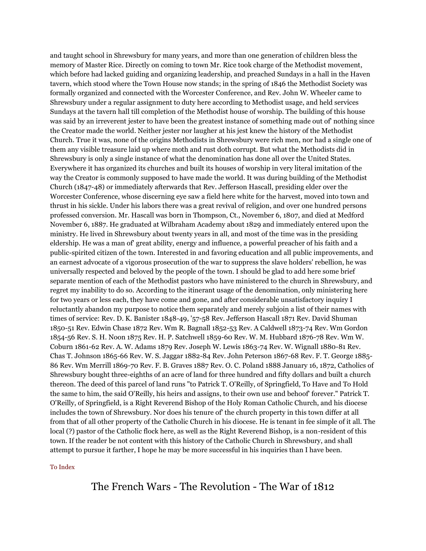and taught school in Shrewsbury for many years, and more than one generation of children bless the memory of Master Rice. Directly on coming to town Mr. Rice took charge of the Methodist movement, which before had lacked guiding and organizing leadership, and preached Sundays in a hall in the Haven tavern, which stood where the Town House now stands; in the spring of 1846 the Methodist Society was formally organized and connected with the Worcester Conference, and Rev. John W. Wheeler came to Shrewsbury under a regular assignment to duty here according to Methodist usage, and held services Sundays at the tavern hall till completion of the Methodist house of worship. The building of this house was said by an irreverent jester to have been the greatest instance of something made out of' nothing since the Creator made the world. Neither jester nor laugher at his jest knew the history of the Methodist Church. True it was, none of the origins Methodists in Shrewsbury were rich men, nor had a single one of them any visible treasure laid up where moth and rust doth corrupt. But what the Methodists did in Shrewsbury is only a single instance of what the denomination has done all over the United States. Everywhere it has organized its churches and built its houses of worship in very literal imitation of the way the Creator is commonly supposed to have made the world. It was during building of the Methodist Church (1847-48) or immediately afterwards that Rev. Jefferson Hascall, presiding elder over the Worcester Conference, whose discerning eye saw a field here white for the harvest, moved into town and thrust in his sickle. Under his labors there was a great revival of religion, and over one hundred persons professed conversion. Mr. Hascall was born in Thompson, Ct., November 6, 1807, and died at Medford November 6, 1887. He graduated at Wilbraham Academy about 1829 and immediately entered upon the ministry. He lived in Shrewsbury about twenty years in all, and most of the time was in the presiding eldership. He was a man of' great ability, energy and influence, a powerful preacher of his faith and a public-spirited citizen of the town. Interested in and favoring education and all public improvements, and an earnest advocate of a vigorous prosecution of the war to suppress the slave holders' rebellion, he was universally respected and beloved by the people of the town. I should be glad to add here some brief separate mention of each of the Methodist pastors who have ministered to the church in Shrewsbury, and regret my inability to do so. According to the itinerant usage of the denomination, only ministering here for two years or less each, they have come and gone, and after considerable unsatisfactory inquiry I reluctantly abandon my purpose to notice them separately and merely subjoin a list of their names with times of service: Rev. D. K. Banister 1848-49, '57-58 Rev. Jefferson Hascall 1871 Rev. David Shuman 1850-51 Rev. Edwin Chase 1872 Rev. Wm R. Bagnall 1852-53 Rev. A Caldwell 1873-74 Rev. Wm Gordon 1854-56 Rev. S. H. Noon 1875 Rev. H. P. Satchwell 1859-60 Rev. W. M. Hubbard 1876-78 Rev. Wm W. Coburn 1861-62 Rev. A. W. Adams 1879 Rev. Joseph W. Lewis 1863-74 Rev. W. Wignall 1880-81 Rev. Chas T. Johnson 1865-66 Rev. W. S. Jaggar 1882-84 Rev. John Peterson 1867-68 Rev. F. T. George 1885- 86 Rev. Wm Merrill 1869-70 Rev. F. B. Graves 1887 Rev. O. C. Poland 1888 January 16, 1872, Catholics of Shrewsbury bought three-eighths of an acre of land for three hundred and fifty dollars and built a church thereon. The deed of this parcel of land runs "to Patrick T. O'Reilly, of Springfield, To Have and To Hold the same to him, the said O'Reilly, his heirs and assigns, to their own use and behoof' forever." Patrick T. O'Reilly, of Springfield, is a Right Reverend Bishop of the Holy Roman Catholic Church, and his diocese includes the town of Shrewsbury. Nor does his tenure of' the church property in this town differ at all from that of all other property of the Catholic Church in his diocese. He is tenant in fee simple of it all. The local (?) pastor of the Catholic flock here, as well as the Right Reverend Bishop, is a non-resident of this town. If the reader be not content with this history of the Catholic Church in Shrewsbury, and shall attempt to pursue it farther, I hope he may be more successful in his inquiries than I have been.

### [To Index](http://www.shrewsburyhistoricalsociety.org/history-1889/#index)

# The French Wars - The Revolution - The War of 1812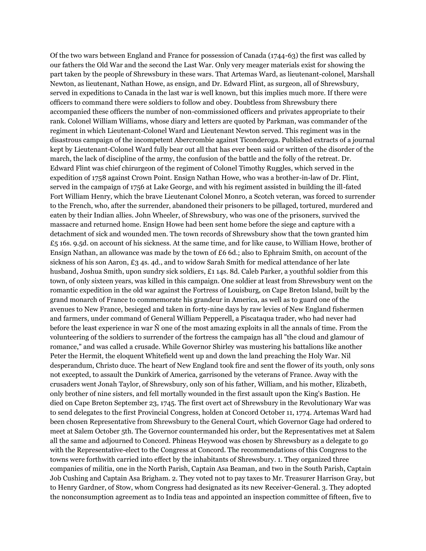Of the two wars between England and France for possession of Canada (1744-63) the first was called by our fathers the Old War and the second the Last War. Only very meager materials exist for showing the part taken by the people of Shrewsbury in these wars. That Artemas Ward, as lieutenant-colonel, Marshall Newton, as lieutenant, Nathan Howe, as ensign, and Dr. Edward Flint, as surgeon, all of Shrewsbury, served in expeditions to Canada in the last war is well known, but this implies much more. If there were officers to command there were soldiers to follow and obey. Doubtless from Shrewsbury there accompanied these officers the number of non-commissioned officers and privates appropriate to their rank. Colonel William Williams, whose diary and letters are quoted by Parkman, was commander of the regiment in which Lieutenant-Colonel Ward and Lieutenant Newton served. This regiment was in the disastrous campaign of the incompetent Abercrombie against Ticonderoga. Published extracts of a journal kept by Lieutenant-Colonel Ward fully bear out all that has ever been said or written of the disorder of the march, the lack of discipline of the army, the confusion of the battle and the folly of the retreat. Dr. Edward Flint was chief chirurgeon of the regiment of Colonel Timothy Ruggles, which served in the expedition of 1758 against Crown Point. Ensign Nathan Howe, who was a brother-in-law of Dr. Flint, served in the campaign of 1756 at Lake George, and with his regiment assisted in building the ill-fated Fort William Henry, which the brave Lieutenant Colonel Monro, a Scotch veteran, was forced to surrender to the French, who, after the surrender, abandoned their prisoners to be pillaged, tortured, murdered and eaten by their Indian allies. John Wheeler, of Shrewsbury, who was one of the prisoners, survived the massacre and returned home. Ensign Howe had been sent home before the siege and capture with a detachment of sick and wounded men. The town records of Shrewsbury show that the town granted him  $£5$  16s. 9.5d. on account of his sickness. At the same time, and for like cause, to William Howe, brother of Ensign Nathan, an allowance was made by the town of £6 6d.; also to Ephraim Smith, on account of the sickness of his son Aaron, £3 4s. 4d., and to widow Sarah Smith for medical attendance of her late husband, Joshua Smith, upon sundry sick soldiers, £1 14s. 8d. Caleb Parker, a youthful soldier from this town, of only sixteen years, was killed in this campaign. One soldier at least from Shrewsbury went on the romantic expedition in the old war against the Fortress of Louisburg, on Cape Breton Island, built by the grand monarch of France to commemorate his grandeur in America, as well as to guard one of the avenues to New France, besieged and taken in forty-nine days by raw levies of New England fishermen and farmers, under command of General William Pepperell, a Piscataqua trader, who had never had before the least experience in war Ñ one of the most amazing exploits in all the annals of time. From the volunteering of the soldiers to surrender of the fortress the campaign has all "the cloud and glamour of romance," and was called a crusade. While Governor Shirley was mustering his battalions like another Peter the Hermit, the eloquent Whitefield went up and down the land preaching the Holy War. Nil desperandum, Christo duce. The heart of New England took fire and sent the flower of its youth, only sons not excepted, to assault the Dunkirk of America, garrisoned by the veterans of France. Away with the crusaders went Jonah Taylor, of Shrewsbury, only son of his father, William, and his mother, Elizabeth, only brother of nine sisters, and fell mortally wounded in the first assault upon the King's Bastion. He died on Cape Breton September 23, 1745. The first overt act of Shrewsbury in the Revolutionary War was to send delegates to the first Provincial Congress, holden at Concord October 11, 1774. Artemas Ward had been chosen Representative from Shrewsbury to the General Court, which Governor Gage had ordered to meet at Salem October 5th. The Governor countermanded his order, but the Representatives met at Salem all the same and adjourned to Concord. Phineas Heywood was chosen by Shrewsbury as a delegate to go with the Representative-elect to the Congress at Concord. The recommendations of this Congress to the towns were forthwith carried into effect by the inhabitants of Shrewsbury. 1. They organized three companies of militia, one in the North Parish, Captain Asa Beaman, and two in the South Parish, Captain Job Cushing and Captain Asa Brigham. 2. They voted not to pay taxes to Mr. Treasurer Harrison Gray, but to Henry Gardner, of Stow, whom Congress had designated as its new Receiver-General. 3. They adopted the nonconsumption agreement as to India teas and appointed an inspection committee of fifteen, five to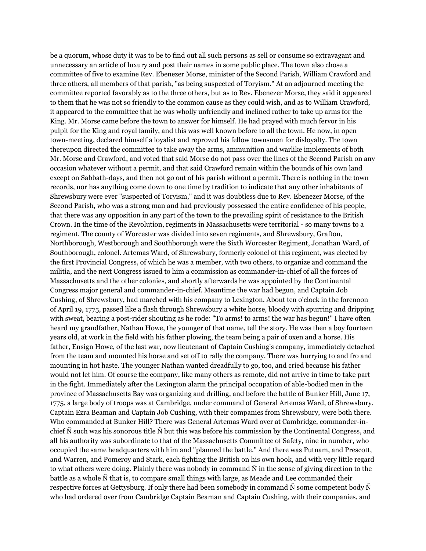be a quorum, whose duty it was to be to find out all such persons as sell or consume so extravagant and unnecessary an article of luxury and post their names in some public place. The town also chose a committee of five to examine Rev. Ebenezer Morse, minister of the Second Parish, William Crawford and three others, all members of that parish, "as being suspected of Toryism." At an adjourned meeting the committee reported favorably as to the three others, but as to Rev. Ebenezer Morse, they said it appeared to them that he was not so friendly to the common cause as they could wish, and as to William Crawford, it appeared to the committee that he was wholly unfriendly and inclined rather to take up arms for the King. Mr. Morse came before the town to answer for himself. He had prayed with much fervor in his pulpit for the King and royal family, and this was well known before to all the town. He now, in open town-meeting, declared himself a loyalist and reproved his fellow townsmen for disloyalty. The town thereupon directed the committee to take away the arms, ammunition and warlike implements of both Mr. Morse and Crawford, and voted that said Morse do not pass over the lines of the Second Parish on any occasion whatever without a permit, and that said Crawford remain within the bounds of his own land except on Sabbath-days, and then not go out of his parish without a permit. There is nothing in the town records, nor has anything come down to one time by tradition to indicate that any other inhabitants of Shrewsbury were ever "suspected of Toryism," and it was doubtless due to Rev. Ebenezer Morse, of the Second Parish, who was a strong man and had previously possessed the entire confidence of his people, that there was any opposition in any part of the town to the prevailing spirit of resistance to the British Crown. In the time of the Revolution, regiments in Massachusetts were territorial - so many towns to a regiment. The county of Worcester was divided into seven regiments, and Shrewsbury, Grafton, Northborough, Westborough and Southborough were the Sixth Worcester Regiment, Jonathan Ward, of Southborough, colonel. Artemas Ward, of Shrewsbury, formerly colonel of this regiment, was elected by the first Provincial Congress, of which he was a member, with two others, to organize and command the militia, and the next Congress issued to him a commission as commander-in-chief of all the forces of Massachusetts and the other colonies, and shortly afterwards he was appointed by the Continental Congress major general and commander-in-chief. Meantime the war had begun, and Captain Job Cushing, of Shrewsbury, had marched with his company to Lexington. About ten o'clock in the forenoon of April 19, 1775, passed like a flash through Shrewsbury a white horse, bloody with spurring and dripping with sweat, bearing a post-rider shouting as he rode: "To arms! to arms! the war has begun!" I have often heard my grandfather, Nathan Howe, the younger of that name, tell the story. He was then a boy fourteen years old, at work in the field with his father plowing, the team being a pair of oxen and a horse. His father, Ensign Howe, of the last war, now lieutenant of Captain Cushing's company, immediately detached from the team and mounted his horse and set off to rally the company. There was hurrying to and fro and mounting in hot haste. The younger Nathan wanted dreadfully to go, too, and cried because his father would not let him. Of course the company, like many others as remote, did not arrive in time to take part in the fight. Immediately after the Lexington alarm the principal occupation of able-bodied men in the province of Massachusetts Bay was organizing and drilling, and before the battle of Bunker Hill, June 17, 1775, a large body of troops was at Cambridge, under command of General Artemas Ward, of Shrewsbury. Captain Ezra Beaman and Captain Job Cushing, with their companies from Shrewsbury, were both there. Who commanded at Bunker Hill? There was General Artemas Ward over at Cambridge, commander-inchief Ñ such was his sonorous title Ñ but this was before his commission by the Continental Congress, and all his authority was subordinate to that of the Massachusetts Committee of Safety, nine in number, who occupied the same headquarters with him and "planned the battle." And there was Putnam, and Prescott, and Warren, and Pomeroy and Stark, each fighting the British on his own hook, and with very little regard to what others were doing. Plainly there was nobody in command Ñ in the sense of giving direction to the battle as a whole Ñ that is, to compare small things with large, as Meade and Lee commanded their respective forces at Gettysburg. If only there had been somebody in command Ñ some competent body Ñ who had ordered over from Cambridge Captain Beaman and Captain Cushing, with their companies, and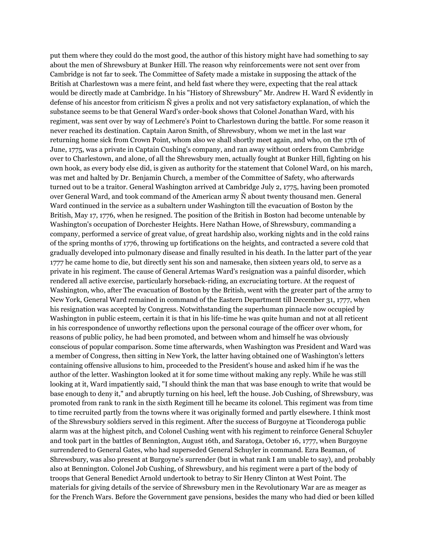put them where they could do the most good, the author of this history might have had something to say about the men of Shrewsbury at Bunker Hill. The reason why reinforcements were not sent over from Cambridge is not far to seek. The Committee of Safety made a mistake in supposing the attack of the British at Charlestown was a mere feint, and held fast where they were, expecting that the real attack would be directly made at Cambridge. In his "History of Shrewsbury" Mr. Andrew H. Ward Ñ evidently in defense of his ancestor from criticism Ñ gives a prolix and not very satisfactory explanation, of which the substance seems to be that General Ward's order-book shows that Colonel Jonathan Ward, with his regiment, was sent over by way of Lechmere's Point to Charlestown during the battle. For some reason it never reached its destination. Captain Aaron Smith, of Shrewsbury, whom we met in the last war returning home sick from Crown Point, whom also we shall shortly meet again, and who, on the 17th of June, 1775, was a private in Captain Cushing's company, and ran away without orders from Cambridge over to Charlestown, and alone, of all the Shrewsbury men, actually fought at Bunker Hill, fighting on his own hook, as every body else did, is given as authority for the statement that Colonel Ward, on his march, was met and halted by Dr. Benjamin Church, a member of the Committee of Safety, who afterwards turned out to be a traitor. General Washington arrived at Cambridge July 2, 1775, having been promoted over General Ward, and took command of the American army Ñ about twenty thousand men. General Ward continued in the service as a subaltern under Washington till the evacuation of Boston by the British, May 17, 1776, when he resigned. The position of the British in Boston had become untenable by Washington's occupation of Dorchester Heights. Here Nathan Howe, of Shrewsbury, commanding a company, performed a service of great value, of great hardship also, working nights and in the cold rains of the spring months of 1776, throwing up fortifications on the heights, and contracted a severe cold that gradually developed into pulmonary disease and finally resulted in his death. In the latter part of the year 1777 he came home to die, but directly sent his son and namesake, then sixteen years old, to serve as a private in his regiment. The cause of General Artemas Ward's resignation was a painful disorder, which rendered all active exercise, particularly horseback-riding, an excruciating torture. At the request of Washington, who, after The evacuation of Boston by the British, went with the greater part of the army to New York, General Ward remained in command of the Eastern Department till December 31, 1777, when his resignation was accepted by Congress. Notwithstanding the superhuman pinnacle now occupied by Washington in public esteem, certain it is that in his life-time he was quite human and not at all reticent in his correspondence of unworthy reflections upon the personal courage of the officer over whom, for reasons of public policy, he had been promoted, and between whom and himself he was obviously conscious of popular comparison. Some time afterwards, when Washington was President and Ward was a member of Congress, then sitting in New York, the latter having obtained one of Washington's letters containing offensive allusions to him, proceeded to the President's house and asked him if he was the author of the letter. Washington looked at it for some time without making any reply. While he was still looking at it, Ward impatiently said, "I should think the man that was base enough to write that would be base enough to deny it," and abruptly turning on his heel, left the house. Job Cushing, of Shrewsbury, was promoted from rank to rank in the sixth Regiment till he became its colonel. This regiment was from time to time recruited partly from the towns where it was originally formed and partly elsewhere. I think most of the Shrewsbury soldiers served in this regiment. After the success of Burgoyne at Ticonderoga public alarm was at the highest pitch, and Colonel Cushing went with his regiment to reinforce General Schuyler and took part in the battles of Bennington, August 16th, and Saratoga, October 16, 1777, when Burgoyne surrendered to General Gates, who had superseded General Schuyler in command. Ezra Beaman, of Shrewsbury, was also present at Burgoyne's surrender (but in what rank I am unable to say), and probably also at Bennington. Colonel Job Cushing, of Shrewsbury, and his regiment were a part of the body of troops that General Benedict Arnold undertook to betray to Sir Henry Clinton at West Point. The materials for giving details of the service of Shrewsbury men in the Revolutionary War are as meager as for the French Wars. Before the Government gave pensions, besides the many who had died or been killed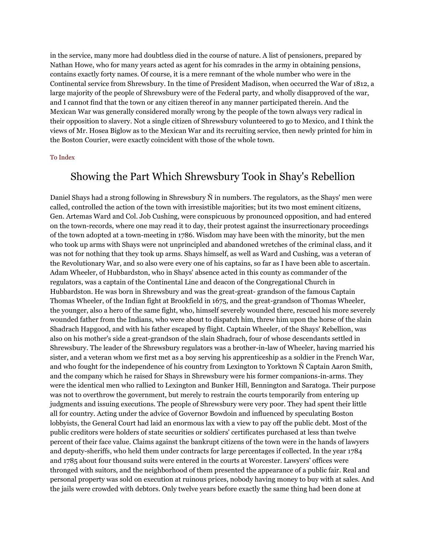in the service, many more had doubtless died in the course of nature. A list of pensioners, prepared by Nathan Howe, who for many years acted as agent for his comrades in the army in obtaining pensions, contains exactly forty names. Of course, it is a mere remnant of the whole number who were in the Continental service from Shrewsbury. In the time of President Madison, when occurred the War of 1812, a large majority of the people of Shrewsbury were of the Federal party, and wholly disapproved of the war, and I cannot find that the town or any citizen thereof in any manner participated therein. And the Mexican War was generally considered morally wrong by the people of the town always very radical in their opposition to slavery. Not a single citizen of Shrewsbury volunteered to go to Mexico, and I think the views of Mr. Hosea Biglow as to the Mexican War and its recruiting service, then newly printed for him in the Boston Courier, were exactly coincident with those of the whole town.

#### [To Index](http://www.shrewsburyhistoricalsociety.org/history-1889/#index)

### Showing the Part Which Shrewsbury Took in Shay's Rebellion

Daniel Shays had a strong following in Shrewsbury Ñ in numbers. The regulators, as the Shays' men were called, controlled the action of the town with irresistible majorities; but its two most eminent citizens, Gen. Artemas Ward and Col. Job Cushing, were conspicuous by pronounced opposition, and had entered on the town-records, where one may read it to day, their protest against the insurrectionary proceedings of the town adopted at a town-meeting in 1786. Wisdom may have been with the minority, but the men who took up arms with Shays were not unprincipled and abandoned wretches of the criminal class, and it was not for nothing that they took up arms. Shays himself, as well as Ward and Cushing, was a veteran of the Revolutionary War, and so also were every one of his captains, so far as I have been able to ascertain. Adam Wheeler, of Hubbardston, who in Shays' absence acted in this county as commander of the regulators, was a captain of the Continental Line and deacon of the Congregational Church in Hubbardston. He was born in Shrewsbury and was the great-great- grandson of the famous Captain Thomas Wheeler, of the Indian fight at Brookfield in 1675, and the great-grandson of Thomas Wheeler, the younger, also a hero of the same fight, who, himself severely wounded there, rescued his more severely wounded father from the Indians, who were about to dispatch him, threw him upon the horse of the slain Shadrach Hapgood, and with his father escaped by flight. Captain Wheeler, of the Shays' Rebellion, was also on his mother's side a great-grandson of the slain Shadrach, four of whose descendants settled in Shrewsbury. The leader of the Shrewsbury regulators was a brother-in-law of Wheeler, having married his sister, and a veteran whom we first met as a boy serving his apprenticeship as a soldier in the French War, and who fought for the independence of his country from Lexington to Yorktown Ñ Captain Aaron Smith, and the company which he raised for Shays in Shrewsbury were his former companions-in-arms. They were the identical men who rallied to Lexington and Bunker Hill, Bennington and Saratoga. Their purpose was not to overthrow the government, but merely to restrain the courts temporarily from entering up judgments and issuing executions. The people of Shrewsbury were very poor. They had spent their little all for country. Acting under the advice of Governor Bowdoin and influenced by speculating Boston lobbyists, the General Court had laid an enormous lax with a view to pay off the public debt. Most of the public creditors were holders of state securities or soldiers' certificates purchased at less than twelve percent of their face value. Claims against the bankrupt citizens of the town were in the hands of lawyers and deputy-sheriffs, who held them under contracts for large percentages if collected. In the year 1784 and 1785 about four thousand suits were entered in the courts at Worcester. Lawyers' offices were thronged with suitors, and the neighborhood of them presented the appearance of a public fair. Real and personal property was sold on execution at ruinous prices, nobody having money to buy with at sales. And the jails were crowded with debtors. Only twelve years before exactly the same thing had been done at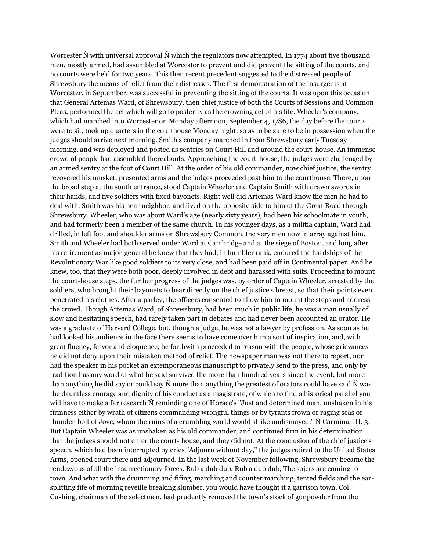Worcester Ñ with universal approval Ñ which the regulators now attempted. In 1774 about five thousand men, mostly armed, had assembled at Worcester to prevent and did prevent the sitting of the courts, and no courts were held for two years. This then recent precedent suggested to the distressed people of Shrewsbury the means of relief from their distresses. The first demonstration of the insurgents at Worcester, in September, was successful in preventing the sitting of the courts. It was upon this occasion that General Artemas Ward, of Shrewsbury, then chief justice of both the Courts of Sessions and Common Pleas, performed the act which will go to posterity as the crowning act of his life. Wheeler's company, which had marched into Worcester on Monday afternoon, September 4, 1786, the day before the courts were to sit, took up quarters in the courthouse Monday night, so as to be sure to be in possession when the judges should arrive next morning. Smith's company marched in from Shrewsbury early Tuesday morning, and was deployed and posted as sentries on Court Hill and around the court-house. An immense crowd of people had assembled thereabouts. Approaching the court-house, the judges were challenged by an armed sentry at the foot of Court Hill. At the order of his old commander, now chief justice, the sentry recovered his musket, presented arms and the judges proceeded past him to the courthouse. There, upon the broad step at the south entrance, stood Captain Wheeler and Captain Smith with drawn swords in their hands, and five soldiers with fixed bayonets. Right well did Artemas Ward know the men he had to deal with. Smith was his near neighbor, and lived on the opposite side to him of the Great Road through Shrewsbury. Wheeler, who was about Ward's age (nearly sixty years), had been his schoolmate in youth, and had formerly been a member of the same church. In his younger days, as a militia captain, Ward had drilled, in left foot and shoulder arms on Shrewsbury Common, the very men now in array against him. Smith and Wheeler had both served under Ward at Cambridge and at the siege of Boston, and long after his retirement as major-general he knew that they had, in humbler rank, endured the hardships of the Revolutionary War like good soldiers to its very close, and had been paid off in Continental paper. And he knew, too, that they were both poor, deeply involved in debt and harassed with suits. Proceeding to mount the court-house steps, the further progress of the judges was, by order of Captain Wheeler, arrested by the soldiers, who brought their bayonets to bear directly on the chief justice's breast, so that their points even penetrated his clothes. After a parley, the officers consented to allow him to mount the steps and address the crowd. Though Artemas Ward, of Shrewsbury, had been much in public life, he was a man usually of slow and hesitating speech, had rarely taken part in debates and had never been accounted an orator. He was a graduate of Harvard College, but, though a judge, he was not a lawyer by profession. As soon as he had looked his audience in the face there seems to have come over him a sort of inspiration, and, with great fluency, fervor and eloquence, he forthwith proceeded to reason with the people, whose grievances he did not deny upon their mistaken method of relief. The newspaper man was not there to report, nor had the speaker in his pocket an extemporaneous manuscript to privately send to the press, and only by tradition has any word of what he said survived the more than hundred years since the event; but more than anything he did say or could say  $\tilde{N}$  more than anything the greatest of orators could have said  $\tilde{N}$  was the dauntless courage and dignity of his conduct as a magistrate, of which to find a historical parallel you will have to make a far research Ñ reminding one of Horace's "Just and determined man, unshaken in his firmness either by wrath of citizens commanding wrongful things or by tyrants frown or raging seas or thunder-bolt of Jove, whom the ruins of a crumbling world would strike undismayed." Ñ Carmina, III. 3. But Captain Wheeler was as unshaken as his old commander, and continued firm in his determination that the judges should not enter the court- house, and they did not. At the conclusion of the chief justice's speech, which had been interrupted by cries "Adjourn without day," the judges retired to the United States Arms, opened court there and adjourned. In the last week of November following, Shrewsbury became the rendezvous of all the insurrectionary forces. Rub a dub dub, Rub a dub dub, The sojers are coming to town. And what with the drumming and fifing, marching and counter marching, tented fields and the earsplitting fife of morning reveille breaking slumber, you would have thought it a garrison town. Col. Cushing, chairman of the selectmen, had prudently removed the town's stock of gunpowder from the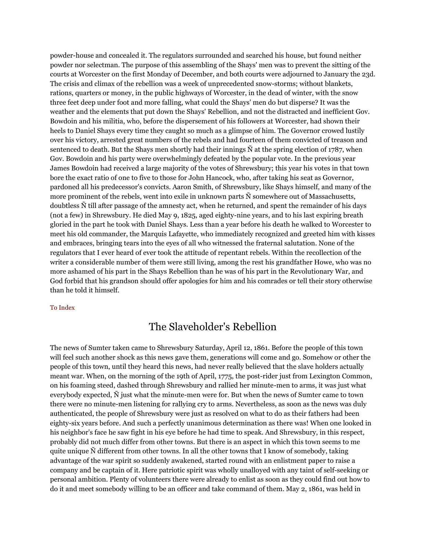powder-house and concealed it. The regulators surrounded and searched his house, but found neither powder nor selectman. The purpose of this assembling of the Shays' men was to prevent the sitting of the courts at Worcester on the first Monday of December, and both courts were adjourned to January the 23d. The crisis and climax of the rebellion was a week of unprecedented snow-storms; without blankets, rations, quarters or money, in the public highways of Worcester, in the dead of winter, with the snow three feet deep under foot and more falling, what could the Shays' men do but disperse? It was the weather and the elements that put down the Shays' Rebellion, and not the distracted and inefficient Gov. Bowdoin and his militia, who, before the dispersement of his followers at Worcester, had shown their heels to Daniel Shays every time they caught so much as a glimpse of him. The Governor crowed lustily over his victory, arrested great numbers of the rebels and had fourteen of them convicted of treason and sentenced to death. But the Shays men shortly had their innings  $\tilde{N}$  at the spring election of 1787, when Gov. Bowdoin and his party were overwhelmingly defeated by the popular vote. In the previous year James Bowdoin had received a large majority of the votes of Shrewsbury; this year his votes in that town bore the exact ratio of one to five to those for John Hancock, who, after taking his seat as Governor, pardoned all his predecessor's convicts. Aaron Smith, of Shrewsbury, like Shays himself, and many of the more prominent of the rebels, went into exile in unknown parts Ñ somewhere out of Massachusetts, doubtless Ñ till after passage of the amnesty act, when he returned, and spent the remainder of his days (not a few) in Shrewsbury. He died May 9, 1825, aged eighty-nine years, and to his last expiring breath gloried in the part he took with Daniel Shays. Less than a year before his death he walked to Worcester to meet his old commander, the Marquis Lafayette, who immediately recognized and greeted him with kisses and embraces, bringing tears into the eyes of all who witnessed the fraternal salutation. None of the regulators that I ever heard of ever took the attitude of repentant rebels. Within the recollection of the writer a considerable number of them were still living, among the rest his grandfather Howe, who was no more ashamed of his part in the Shays Rebellion than he was of his part in the Revolutionary War, and God forbid that his grandson should offer apologies for him and his comrades or tell their story otherwise than he told it himself.

#### [To Index](http://www.shrewsburyhistoricalsociety.org/history-1889/#index)

# The Slaveholder's Rebellion

The news of Sumter taken came to Shrewsbury Saturday, April 12, 1861. Before the people of this town will feel such another shock as this news gave them, generations will come and go. Somehow or other the people of this town, until they heard this news, had never really believed that the slave holders actually meant war. When, on the morning of the 19th of April, 1775, the post-rider just from Lexington Common, on his foaming steed, dashed through Shrewsbury and rallied her minute-men to arms, it was just what everybody expected, Ñ just what the minute-men were for. But when the news of Sumter came to town there were no minute-men listening for rallying cry to arms. Nevertheless, as soon as the news was duly authenticated, the people of Shrewsbury were just as resolved on what to do as their fathers had been eighty-six years before. And such a perfectly unanimous determination as there was! When one looked in his neighbor's face he saw fight in his eye before he had time to speak. And Shrewsbury, in this respect, probably did not much differ from other towns. But there is an aspect in which this town seems to me quite unique Ñ different from other towns. In all the other towns that I know of somebody, taking advantage of the war spirit so suddenly awakened, started round with an enlistment paper to raise a company and be captain of it. Here patriotic spirit was wholly unalloyed with any taint of self-seeking or personal ambition. Plenty of volunteers there were already to enlist as soon as they could find out how to do it and meet somebody willing to be an officer and take command of them. May 2, 1861, was held in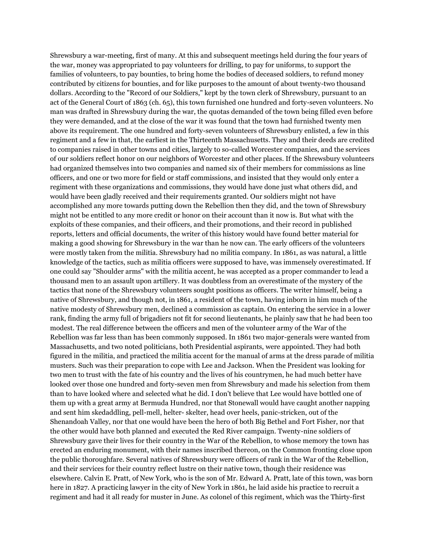Shrewsbury a war-meeting, first of many. At this and subsequent meetings held during the four years of the war, money was appropriated to pay volunteers for drilling, to pay for uniforms, to support the families of volunteers, to pay bounties, to bring home the bodies of deceased soldiers, to refund money contributed by citizens for bounties, and for like purposes to the amount of about twenty-two thousand dollars. According to the "Record of our Soldiers," kept by the town clerk of Shrewsbury, pursuant to an act of the General Court of 1863 (ch. 65), this town furnished one hundred and forty-seven volunteers. No man was drafted in Shrewsbury during the war, the quotas demanded of the town being filled even before they were demanded, and at the close of the war it was found that the town had furnished twenty men above its requirement. The one hundred and forty-seven volunteers of Shrewsbury enlisted, a few in this regiment and a few in that, the earliest in the Thirteenth Massachusetts. They and their deeds are credited to companies raised in other towns and cities, largely to so-called Worcester companies, and the services of our soldiers reflect honor on our neighbors of Worcester and other places. If the Shrewsbury volunteers had organized themselves into two companies and named six of their members for commissions as line officers, and one or two more for field or staff commissions, and insisted that they would only enter a regiment with these organizations and commissions, they would have done just what others did, and would have been gladly received and their requirements granted. Our soldiers might not have accomplished any more towards putting down the Rebellion then they did, and the town of Shrewsbury might not be entitled to any more credit or honor on their account than it now is. But what with the exploits of these companies, and their officers, and their promotions, and their record in published reports, letters and official documents, the writer of this history would have found better material for making a good showing for Shrewsbury in the war than he now can. The early officers of the volunteers were mostly taken from the militia. Shrewsbury had no militia company. In 1861, as was natural, a little knowledge of the tactics, such as militia officers were supposed to have, was immensely overestimated. If one could say "Shoulder arms" with the militia accent, he was accepted as a proper commander to lead a thousand men to an assault upon artillery. It was doubtless from an overestimate of the mystery of the tactics that none of the Shrewsbury volunteers sought positions as officers. The writer himself, being a native of Shrewsbury, and though not, in 1861, a resident of the town, having inborn in him much of the native modesty of Shrewsbury men, declined a commission as captain. On entering the service in a lower rank, finding the army full of brigadiers not fit for second lieutenants, he plainly saw that he had been too modest. The real difference between the officers and men of the volunteer army of the War of the Rebellion was far less than has been commonly supposed. In 1861 two major-generals were wanted from Massachusetts, and two noted politicians, both Presidential aspirants, were appointed. They had both figured in the militia, and practiced the militia accent for the manual of arms at the dress parade of militia musters. Such was their preparation to cope with Lee and Jackson. When the President was looking for two men to trust with the fate of his country and the lives of his countrymen, he had much better have looked over those one hundred and forty-seven men from Shrewsbury and made his selection from them than to have looked where and selected what he did. I don't believe that Lee would have bottled one of them up with a great army at Bermuda Hundred, nor that Stonewall would have caught another napping and sent him skedaddling, pell-mell, helter- skelter, head over heels, panic-stricken, out of the Shenandoah Valley, nor that one would have been the hero of both Big Bethel and Fort Fisher, nor that the other would have both planned and executed the Red River campaign. Twenty-nine soldiers of Shrewsbury gave their lives for their country in the War of the Rebellion, to whose memory the town has erected an enduring monument, with their names inscribed thereon, on the Common fronting close upon the public thoroughfare. Several natives of Shrewsbury were officers of rank in the War of the Rebellion, and their services for their country reflect lustre on their native town, though their residence was elsewhere. Calvin E. Pratt, of New York, who is the son of Mr. Edward A. Pratt, late of this town, was born here in 1827. A practicing lawyer in the city of New York in 1861, he laid aside his practice to recruit a regiment and had it all ready for muster in June. As colonel of this regiment, which was the Thirty-first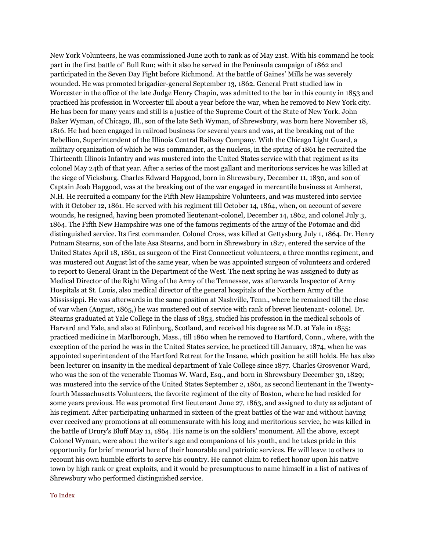New York Volunteers, he was commissioned June 20th to rank as of May 21st. With his command he took part in the first battle of' Bull Run; with it also he served in the Peninsula campaign of 1862 and participated in the Seven Day Fight before Richmond. At the battle of Gaines' Mills he was severely wounded. He was promoted brigadier-general September 13, 1862. General Pratt studied law in Worcester in the office of the late Judge Henry Chapin, was admitted to the bar in this county in 1853 and practiced his profession in Worcester till about a year before the war, when he removed to New York city. He has been for many years and still is a justice of the Supreme Court of the State of New York. John Baker Wyman, of Chicago, Ill., son of the late Seth Wyman, of Shrewsbury, was born here November 18, 1816. He had been engaged in railroad business for several years and was, at the breaking out of the Rebellion, Superintendent of the Illinois Central Railway Company. With the Chicago Light Guard, a military organization of which he was commander, as the nucleus, in the spring of 1861 he recruited the Thirteenth Illinois Infantry and was mustered into the United States service with that regiment as its colonel May 24th of that year. After a series of the most gallant and meritorious services he was killed at the siege of Vicksburg. Charles Edward Hapgood, born in Shrewsbury, December 11, 1830, and son of Captain Joab Hapgood, was at the breaking out of the war engaged in mercantile business at Amherst, N.H. He recruited a company for the Fifth New Hampshire Volunteers, and was mustered into service with it October 12, 1861. He served with his regiment till October 14, 1864, when, on account of severe wounds, he resigned, having been promoted lieutenant-colonel, December 14, 1862, and colonel July 3, 1864. The Fifth New Hampshire was one of the famous regiments of the army of the Potomac and did distinguished service. Its first commander, Colonel Cross, was killed at Gettysburg July 1, 1864. Dr. Henry Putnam Stearns, son of the late Asa Stearns, and born in Shrewsbury in 1827, entered the service of the United States April 18, 1861, as surgeon of the First Connecticut volunteers, a three months regiment, and was mustered out August lst of the same year, when be was appointed surgeon of volunteers and ordered to report to General Grant in the Department of the West. The next spring he was assigned to duty as Medical Director of the Right Wing of the Army of the Tennessee, was afterwards Inspector of Army Hospitals at St. Louis, also medical director of the general hospitals of the Northern Army of the Mississippi. He was afterwards in the same position at Nashville, Tenn., where he remained till the close of war when (August, 1865,) he was mustered out of service with rank of brevet lieutenant- colonel. Dr. Stearns graduated at Yale College in the class of 1853, studied his profession in the medical schools of Harvard and Yale, and also at Edinburg, Scotland, and received his degree as M.D. at Yale in 1855; practiced medicine in Marlborough, Mass., till 1860 when he removed to Hartford, Conn., where, with the exception of the period he was in the United States service, he practiced till January, 1874, when he was appointed superintendent of the Hartford Retreat for the Insane, which position he still holds. He has also been lecturer on insanity in the medical department of Yale College since 1877. Charles Grosvenor Ward, who was the son of the venerable Thomas W. Ward, Esq., and born in Shrewsbury December 30, 1829; was mustered into the service of the United States September 2, 1861, as second lieutenant in the Twentyfourth Massachusetts Volunteers, the favorite regiment of the city of Boston, where he had resided for some years previous. He was promoted first lieutenant June 27, 1863, and assigned to duty as adjutant of his regiment. After participating unharmed in sixteen of the great battles of the war and without having ever received any promotions at all commensurate with his long and meritorious service, he was killed in the battle of Drury's Bluff May 11, 1864. His name is on the soldiers' monument. All the above, except Colonel Wyman, were about the writer's age and companions of his youth, and he takes pride in this opportunity for brief memorial here of their honorable and patriotic services. He will leave to others to recount his own humble efforts to serve his country. He cannot claim to reflect honor upon his native town by high rank or great exploits, and it would be presumptuous to name himself in a list of natives of Shrewsbury who performed distinguished service.

#### [To Index](http://www.shrewsburyhistoricalsociety.org/history-1889/#index)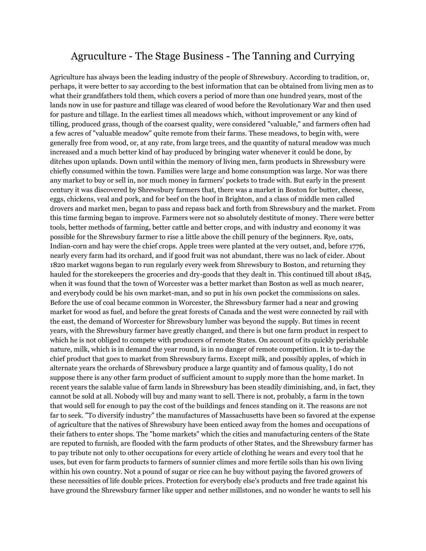### Agruculture - The Stage Business - The Tanning and Currying

Agriculture has always been the leading industry of the people of Shrewsbury. According to tradition, or, perhaps, it were better to say according to the best information that can be obtained from living men as to what their grandfathers told them, which covers a period of more than one hundred years, most of the lands now in use for pasture and tillage was cleared of wood before the Revolutionary War and then used for pasture and tillage. In the earliest times all meadows which, without improvement or any kind of tilling, produced grass, though of the coarsest quality, were considered "valuable," and farmers often had a few acres of "valuable meadow" quite remote from their farms. These meadows, to begin with, were generally free from wood, or, at any rate, from large trees, and the quantity of natural meadow was much increased and a much better kind of hay produced by bringing water whenever it could be done, by ditches upon uplands. Down until within the memory of living men, farm products in Shrewsbury were chiefly consumed within the town. Families were large and home consumption was large. Nor was there any market to buy or sell in, nor much money in farmers' pockets to trade with. But early in the present century it was discovered by Shrewsbury farmers that, there was a market in Boston for butter, cheese, eggs, chickens, veal and pork, and for beef on the hoof in Brighton, and a class of middle men called drovers and market men, began to pass and repass back and forth from Shrewsbury and the market. From this time farming began to improve. Farmers were not so absolutely destitute of money. There were better tools, better methods of farming, better cattle and better crops, and with industry and economy it was possible for the Shrewsbury farmer to rise a little above the chill penury of the beginners. Rye, oats, Indian-corn and hay were the chief crops. Apple trees were planted at the very outset, and, before 1776, nearly every farm had its orchard, and if good fruit was not abundant, there was no lack of cider. About 1820 market wagons began to run regularly every week from Shrewsbury to Boston, and returning they hauled for the storekeepers the groceries and dry-goods that they dealt in. This continued till about 1845, when it was found that the town of Worcester was a better market than Boston as well as much nearer, and everybody could be his own market-man, and so put in his own pocket the commissions on sales. Before the use of coal became common in Worcester, the Shrewsbury farmer had a near and growing market for wood as fuel, and before the great forests of Canada and the west were connected by rail with the east, the demand of Worcester for Shrewsbury lumber was beyond the supply. But times in recent years, with the Shrewsbury farmer have greatly changed, and there is but one farm product in respect to which he is not obliged to compete with producers of remote States. On account of its quickly perishable nature, milk, which is in demand the year round, is in no danger of remote competition. It is to-day the chief product that goes to market from Shrewsbury farms. Except milk, and possibly apples, of which in alternate years the orchards of Shrewsbury produce a large quantity and of famous quality, I do not suppose there is any other farm product of sufficient amount to supply more than the home market. In recent years the salable value of farm lands in Shrewsbury has been steadily diminishing, and, in fact, they cannot be sold at all. Nobody will buy and many want to sell. There is not, probably, a farm in the town that would sell for enough to pay the cost of the buildings and fences standing on it. The reasons are not far to seek. "To diversify industry" the manufactures of Massachusetts have been so favored at the expense of agriculture that the natives of Shrewsbury have been enticed away from the homes and occupations of their fathers to enter shops. The "home markets" which the cities and manufacturing centers of the State are reputed to furnish, are flooded with the farm products of other States, and the Shrewsbury farmer has to pay tribute not only to other occupations for every article of clothing he wears and every tool that he uses, but even for farm products to farmers of sunnier climes and more fertile soils than his own living within his own country. Not a pound of sugar or rice can he buy without paying the favored growers of these necessities of life double prices. Protection for everybody else's products and free trade against his have ground the Shrewsbury farmer like upper and nether millstones, and no wonder he wants to sell his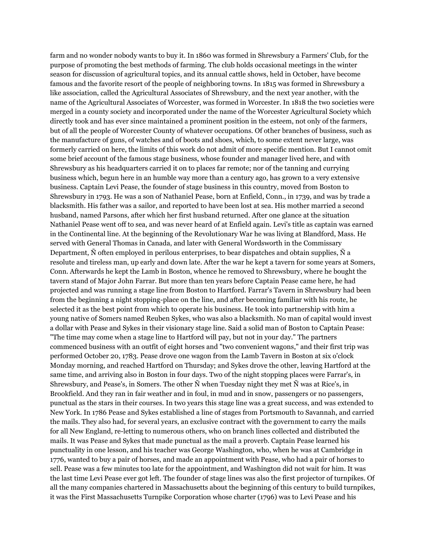farm and no wonder nobody wants to buy it. In 1860 was formed in Shrewsbury a Farmers' Club, for the purpose of promoting the best methods of farming. The club holds occasional meetings in the winter season for discussion of agricultural topics, and its annual cattle shows, held in October, have become famous and the favorite resort of the people of neighboring towns. In 1815 was formed in Shrewsbury a like association, called the Agricultural Associates of Shrewsbury, and the next year another, with the name of the Agricultural Associates of Worcester, was formed in Worcester. In 1818 the two societies were merged in a county society and incorporated under the name of the Worcester Agricultural Society which directly took and has ever since maintained a prominent position in the esteem, not only of the farmers, but of all the people of Worcester County of whatever occupations. Of other branches of business, such as the manufacture of guns, of watches and of boots and shoes, which, to some extent never large, was formerly carried on here, the limits of this work do not admit of more specific mention. But I cannot omit some brief account of the famous stage business, whose founder and manager lived here, and with Shrewsbury as his headquarters carried it on to places far remote; nor of the tanning and currying business which, begun here in an humble way more than a century ago, has grown to a very extensive business. Captain Levi Pease, the founder of stage business in this country, moved from Boston to Shrewsbury in 1793. He was a son of Nathaniel Pease, born at Enfield, Conn., in 1739, and was by trade a blacksmith. His father was a sailor, and reported to have been lost at sea. His mother married a second husband, named Parsons, after which her first husband returned. After one glance at the situation Nathaniel Pease went off to sea, and was never heard of at Enfield again. Levi's title as captain was earned in the Continental line. At the beginning of the Revolutionary War he was living at Blandford, Mass. He served with General Thomas in Canada, and later with General Wordsworth in the Commissary Department, Ñ often employed in perilous enterprises, to bear dispatches and obtain supplies, Ñ a resolute and tireless man, up early and down late. After the war he kept a tavern for some years at Somers, Conn. Afterwards he kept the Lamb in Boston, whence he removed to Shrewsbury, where he bought the tavern stand of Major John Farrar. But more than ten years before Captain Pease came here, he had projected and was running a stage line from Boston to Hartford. Farrar's Tavern in Shrewsbury had been from the beginning a night stopping-place on the line, and after becoming familiar with his route, he selected it as the best point from which to operate his business. He took into partnership with him a young native of Somers named Reuben Sykes, who was also a blacksmith. No man of capital would invest a dollar with Pease and Sykes in their visionary stage line. Said a solid man of Boston to Captain Pease: "The time may come when a stage line to Hartford will pay, but not in your day." The partners commenced business with an outfit of eight horses and "two convenient wagons," and their first trip was performed October 20, 1783. Pease drove one wagon from the Lamb Tavern in Boston at six o'clock Monday morning, and reached Hartford on Thursday; and Sykes drove the other, leaving Hartford at the same time, and arriving also in Boston in four days. Two of the night stopping places were Farrar's, in Shrewsbury, and Pease's, in Somers. The other Ñ when Tuesday night they met Ñ was at Rice's, in Brookfield. And they ran in fair weather and in foul, in mud and in snow, passengers or no passengers, punctual as the stars in their courses. In two years this stage line was a great success, and was extended to New York. In 1786 Pease and Sykes established a line of stages from Portsmouth to Savannah, and carried the mails. They also had, for several years, an exclusive contract with the government to carry the mails for all New England, re-letting to numerous others, who on branch lines collected and distributed the mails. It was Pease and Sykes that made punctual as the mail a proverb. Captain Pease learned his punctuality in one lesson, and his teacher was George Washington, who, when he was at Cambridge in 1776, wanted to buy a pair of horses, and made an appointment with Pease, who had a pair of horses to sell. Pease was a few minutes too late for the appointment, and Washington did not wait for him. It was the last time Levi Pease ever got left. The founder of stage lines was also the first projector of turnpikes. Of all the many companies chartered in Massachusetts about the beginning of this century to build turnpikes, it was the First Massachusetts Turnpike Corporation whose charter (1796) was to Levi Pease and his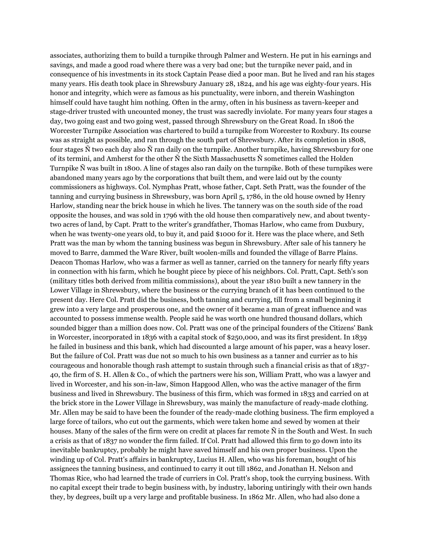associates, authorizing them to build a turnpike through Palmer and Western. He put in his earnings and savings, and made a good road where there was a very bad one; but the turnpike never paid, and in consequence of his investments in its stock Captain Pease died a poor man. But he lived and ran his stages many years. His death took place in Shrewsbury January 28, 1824, and his age was eighty-four years. His honor and integrity, which were as famous as his punctuality, were inborn, and therein Washington himself could have taught him nothing. Often in the army, often in his business as tavern-keeper and stage-driver trusted with uncounted money, the trust was sacredly inviolate. For many years four stages a day, two going east and two going west, passed through Shrewsbury on the Great Road. In 1806 the Worcester Turnpike Association was chartered to build a turnpike from Worcester to Roxbury. Its course was as straight as possible, and ran through the south part of Shrewsbury. After its completion in 1808, four stages Ñ two each day also Ñ ran daily on the turnpike. Another turnpike, having Shrewsbury for one of its termini, and Amherst for the other Ñ the Sixth Massachusetts Ñ sometimes called the Holden Turnpike Ñ was built in 1800. A line of stages also ran daily on the turnpike. Both of these turnpikes were abandoned many years ago by the corporations that built them, and were laid out by the county commissioners as highways. Col. Nymphas Pratt, whose father, Capt. Seth Pratt, was the founder of the tanning and currying business in Shrewsbury, was born April 5, 1786, in the old house owned by Henry Harlow, standing near the brick house in which he lives. The tannery was on the south side of the road opposite the houses, and was sold in 1796 with the old house then comparatively new, and about twentytwo acres of land, by Capt. Pratt to the writer's grandfather, Thomas Harlow, who came from Duxbury, when he was twenty-one years old, to buy it, and paid \$1000 for it. Here was the place where, and Seth Pratt was the man by whom the tanning business was begun in Shrewsbury. After sale of his tannery he moved to Barre, dammed the Ware River, built woolen-mills and founded the village of Barre Plains. Deacon Thomas Harlow, who was a farmer as well as tanner, carried on the tannery for nearly fifty years in connection with his farm, which he bought piece by piece of his neighbors. Col. Pratt, Capt. Seth's son (military titles both derived from militia commissions), about the year 1810 built a new tannery in the Lower Village in Shrewsbury, where the business or the currying branch of it has been continued to the present day. Here Col. Pratt did the business, both tanning and currying, till from a small beginning it grew into a very large and prosperous one, and the owner of it became a man of great influence and was accounted to possess immense wealth. People said he was worth one hundred thousand dollars, which sounded bigger than a million does now. Col. Pratt was one of the principal founders of the Citizens' Bank in Worcester, incorporated in 1836 with a capital stock of \$250,000, and was its first president. In 1839 he failed in business and this bank, which had discounted a large amount of his paper, was a heavy loser. But the failure of Col. Pratt was due not so much to his own business as a tanner and currier as to his courageous and honorable though rash attempt to sustain through such a financial crisis as that of 1837- 40, the firm of S. H. Allen & Co., of which the partners were his son, William Pratt, who was a lawyer and lived in Worcester, and his son-in-law, Simon Hapgood Allen, who was the active manager of the firm business and lived in Shrewsbury. The business of this firm, which was formed in 1833 and carried on at the brick store in the Lower Village in Shrewsbury, was mainly the manufacture of ready-made clothing. Mr. Allen may be said to have been the founder of the ready-made clothing business. The firm employed a large force of tailors, who cut out the garments, which were taken home and sewed by women at their houses. Many of the sales of the firm were on credit at places far remote  $\tilde{N}$  in the South and West. In such a crisis as that of 1837 no wonder the firm failed. If Col. Pratt had allowed this firm to go down into its inevitable bankruptcy, probably he might have saved himself and his own proper business. Upon the winding up of Col. Pratt's affairs in bankruptcy, Lucius H. Allen, who was his foreman, bought of his assignees the tanning business, and continued to carry it out till 1862, and Jonathan H. Nelson and Thomas Rice, who had learned the trade of curriers in Col. Pratt's shop, took the currying business. With no capital except their trade to begin business with, by industry, laboring untiringly with their own hands they, by degrees, built up a very large and profitable business. In 1862 Mr. Allen, who had also done a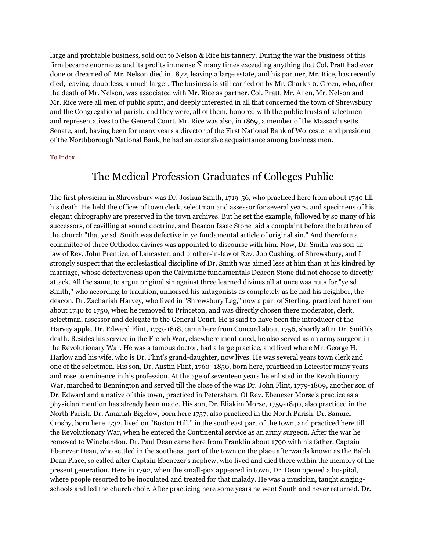large and profitable business, sold out to Nelson & Rice his tannery. During the war the business of this firm became enormous and its profits immense Ñ many times exceeding anything that Col. Pratt had ever done or dreamed of. Mr. Nelson died in 1872, leaving a large estate, and his partner, Mr. Rice, has recently died, leaving, doubtless, a much larger. The business is still carried on by Mr. Charles 0. Green, who, after the death of Mr. Nelson, was associated with Mr. Rice as partner. Col. Pratt, Mr. Allen, Mr. Nelson and Mr. Rice were all men of public spirit, and deeply interested in all that concerned the town of Shrewsbury and the Congregational parish; and they were, all of them, honored with the public trusts of selectmen and representatives to the General Court. Mr. Rice was also, in 1869, a member of the Massachusetts Senate, and, having been for many years a director of the First National Bank of Worcester and president of the Northborough National Bank, he had an extensive acquaintance among business men.

#### [To Index](http://www.shrewsburyhistoricalsociety.org/history-1889/#index)

### The Medical Profession Graduates of Colleges Public

The first physician in Shrewsbury was Dr. Joshua Smith, 1719-56, who practiced here from about 1740 till his death. He held the offices of town clerk, selectman and assessor for several years, and specimens of his elegant chirography are preserved in the town archives. But he set the example, followed by so many of his successors, of cavilling at sound doctrine, and Deacon Isaac Stone laid a complaint before the brethren of the church "that ye sd. Smith was defective in ye fundamental article of original sin." And therefore a committee of three Orthodox divines was appointed to discourse with him. Now, Dr. Smith was son-inlaw of Rev. John Prentice, of Lancaster, and brother-in-law of Rev. Job Cushing, of Shrewsbury, and I strongly suspect that the ecclesiastical discipline of Dr. Smith was aimed less at him than at his kindred by marriage, whose defectiveness upon the Calvinistic fundamentals Deacon Stone did not choose to directly attack. All the same, to argue original sin against three learned divines all at once was nuts for "ye sd. Smith,'' who according to tradition, unhorsed his antagonists as completely as he had his neighbor, the deacon. Dr. Zachariah Harvey, who lived in "Shrewsbury Leg," now a part of Sterling, practiced here from about 1740 to 1750, when he removed to Princeton, and was directly chosen there moderator, clerk, selectman, assessor and delegate to the General Court. He is said to have been the introducer of the Harvey apple. Dr. Edward Flint, 1733-1818, came here from Concord about 1756, shortly after Dr. Smith's death. Besides his service in the French War, elsewhere mentioned, he also served as an army surgeon in the Revolutionary War. He was a famous doctor, had a large practice, and lived where Mr. George H. Harlow and his wife, who is Dr. Flint's grand-daughter, now lives. He was several years town clerk and one of the selectmen. His son, Dr. Austin Flint, 1760- 1850, born here, practiced in Leicester many years and rose to eminence in his profession. At the age of seventeen years he enlisted in the Revolutionary War, marched to Bennington and served till the close of the was Dr. John Flint, 1779-1809, another son of Dr. Edward and a native of this town, practiced in Petersham. Of Rev. Ebenezer Morse's practice as a physician mention has already been made. His son, Dr. Eliakim Morse, 1759-1840, also practiced in the North Parish. Dr. Amariah Bigelow, born here 1757, also practiced in the North Parish. Dr. Samuel Crosby, born here 1732, lived on "Boston Hill," in the southeast part of the town, and practiced here till the Revolutionary War, when he entered the Continental service as an army surgeon. After the war he removed to Winchendon. Dr. Paul Dean came here from Franklin about 1790 with his father, Captain Ebenezer Dean, who settled in the southeast part of the town on the place afterwards known as the Balch Dean Place, so called after Captain Ebenezer's nephew, who lived and died there within the memory of the present generation. Here in 1792, when the small-pox appeared in town, Dr. Dean opened a hospital, where people resorted to be inoculated and treated for that malady. He was a musician, taught singingschools and led the church choir. After practicing here some years he went South and never returned. Dr.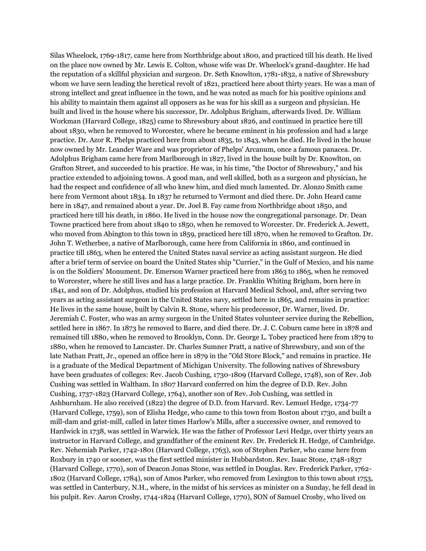Silas Wheelock, 1769-1817, came here from Northbridge about 1800, and practiced till his death. He lived on the place now owned by Mr. Lewis E. Colton, whose wife was Dr. Wheelock's grand-daughter. He had the reputation of a skillful physician and surgeon. Dr. Seth Knowlton, 1781-1832, a native of Shrewsbury whom we have seen leading the heretical revolt of 1821, practiced here about thirty years. He was a man of strong intellect and great influence in the town, and he was noted as much for his positive opinions and his ability to maintain them against all opposers as he was for his skill as a surgeon and physician. He built and lived in the house where his successor, Dr. Adolphus Brigham, afterwards lived. Dr. William Workman (Harvard College, 1825) came to Shrewsbury about 1826, and continued in practice here till about 1830, when he removed to Worcester, where he became eminent in his profession and had a large practice. Dr. Azor R. Phelps practiced here from about 1835, to 1843, when he died. He lived in the house now owned by Mr. Leander Ware and was proprietor of Phelps' Arcanum, once a famous panacea. Dr. Adolphus Brigham came here from Marlborough in 1827, lived in the house built by Dr. Knowlton, on Grafton Street, and succeeded to his practice. He was, in his time, "the Doctor of Shrewsbury," and his practice extended to adjoining towns. A good man, and well skilled, both as a surgeon and physician, he had the respect and confidence of all who knew him, and died much lamented. Dr. Alonzo Smith came here from Vermont about 1834. In 1837 he returned to Vermont and died there. Dr. John Heard came here in 1847, and remained about a year. Dr. Joel B. Fay came from Northbridge about 1850, and practiced here till his death, in 1860. He lived in the house now the congregational parsonage. Dr. Dean Towne practiced here from about 1840 to 1850, when he removed to Worcester. Dr. Frederick A. Jewett, who moved from Abington to this town in 1859, practiced here till 1870, when he removed to Grafton. Dr. John T. Wetherbee, a native of Marlborough, came here from California in 1860, and continued in practice till 1863, when he entered the United States naval service as acting assistant surgeon. He died after a brief term of service on board the United States ship "Currier," in the Gulf of Mexico, and his name is on the Soldiers' Monument. Dr. Emerson Warner practiced here from 1863 to 1865, when he removed to Worcester, where he still lives and has a large practice. Dr. Franklin Whiting Brigham, born here in 1841, and son of Dr. Adolphus, studied his profession at Harvard Medical School, and, after serving two years as acting assistant surgeon in the United States navy, settled here in 1865, and remains in practice: He lives in the same house, built by Calvin R. Stone, where his predecessor, Dr. Warner, lived. Dr. Jeremiah C. Foster, who was an army surgeon in the United States volunteer service during the Rebellion, settled here in 1867. In 1873 he removed to Barre, and died there. Dr. J. C. Coburn came here in 1878 and remained till 1880, when he removed to Brooklyn, Conn. Dr. George L. Tobey practiced here from 1879 to 1880, when he removed to Lancaster. Dr. Charles Sumner Pratt, a native of Shrewsbury, and son of the late Nathan Pratt, Jr., opened an office here in 1879 in the "Old Store Block," and remains in practice. He is a graduate of the Medical Department of Michigan University. The following natives of Shrewsbury have been graduates of colleges: Rev. Jacob Cushing, 1730-1809 (Harvard College, 1748), son of Rev. Job Cushing was settled in Waltham. In 1807 Harvard conferred on him the degree of D.D. Rev. John Cushing, 1737-1823 (Harvard College, 1764), another son of Rev. Job Cushing, was settled in Ashburnham. He also received (1822) the degree of D.D. from Harvard. Rev. Lemuel Hedge, 1734-77 (Harvard College, 1759), son of Elisha Hedge, who came to this town from Boston about 1730, and built a mill-dam and grist-mill, called in later times Harlow's Mills, after a successive owner, and removed to Hardwick in 1738, was settled in Warwick. He was the father of Professor Levi Hedge, over thirty years an instructor in Harvard College, and grandfather of the eminent Rev. Dr. Frederick H. Hedge, of Cambridge. Rev. Nehemiah Parker, 1742-1801 (Harvard College, 1763), son of Stephen Parker, who came here from Roxbury in 1740 or sooner, was the first settled minister in Hubbardston. Rev. Isaac Stone, 1748-1837 (Harvard College, 1770), son of Deacon Jonas Stone, was settled in Douglas. Rev. Frederick Parker, 1762- 1802 (Harvard College, 1784), son of Amos Parker, who removed from Lexington to this town about 1753, was settled in Canterbury, N.H., where, in the midst of his services as minister on a Sunday, he fell dead in his pulpit. Rev. Aaron Crosby, 1744-1824 (Harvard College, 1770), SON of Samuel Crosby, who lived on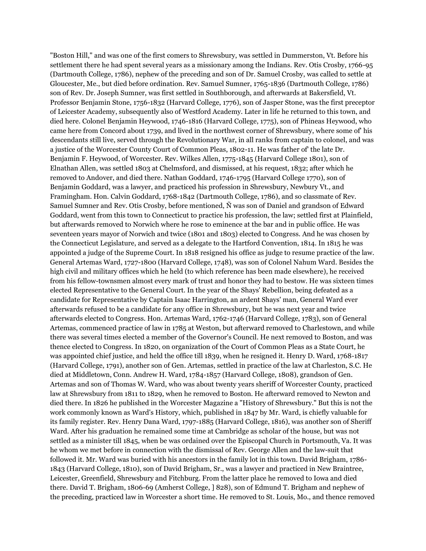"Boston Hill," and was one of the first comers to Shrewsbury, was settled in Dummerston, Vt. Before his settlement there he had spent several years as a missionary among the Indians. Rev. Otis Crosby, 1766-95 (Dartmouth College, 1786), nephew of the preceding and son of Dr. Samuel Crosby, was called to settle at Gloucester, Me., but died before ordination. Rev. Samuel Sumner, 1765-1836 (Dartmouth College, 1786) son of Rev. Dr. Joseph Sumner, was first settled in Southborough, and afterwards at Bakersfield, Vt. Professor Benjamin Stone, 1756-1832 (Harvard College, 1776), son of Jasper Stone, was the first preceptor of Leicester Academy, subsequently also of Westford Academy. Later in life he returned to this town, and died here. Colonel Benjamin Heywood, 1746-1816 (Harvard College, 1775), son of Phineas Heywood, who came here from Concord about 1739, and lived in the northwest corner of Shrewsbury, where some of' his descendants still live, served through the Revolutionary War, in all ranks from captain to colonel, and was a justice of the Worcester County Court of Common Pleas, 1802-11. He was father of' the late Dr. Benjamin F. Heywood, of Worcester. Rev. Wilkes Allen, 1775-1845 (Harvard College 1801), son of Elnathan Allen, was settled 1803 at Chelmsford, and dismissed, at his request, 1832; after which he removed to Andover, and died there. Nathan Goddard, 1746-1795 (Harvard College 1770), son of Benjamin Goddard, was a lawyer, and practiced his profession in Shrewsbury, Newbury Vt., and Framingham. Hon. Calvin Goddard, 1768-1842 (Dartmouth College, 1786), and so classmate of Rev. Samuel Sumner and Rev. Otis Crosby, before mentioned, Ñ was son of Daniel and grandson of Edward Goddard, went from this town to Connecticut to practice his profession, the law; settled first at Plainfield, but afterwards removed to Norwich where he rose to eminence at the bar and in public office. He was seventeen years mayor of Norwich and twice (1801 and 1803) elected to Congress. And he was chosen by the Connecticut Legislature, and served as a delegate to the Hartford Convention, 1814. In 1815 he was appointed a judge of the Supreme Court. In 1818 resigned his office as judge to resume practice of the law. General Artemas Ward, 1727-1800 (Harvard College, 1748), was son of Colonel Nahum Ward. Besides the high civil and military offices which he held (to which reference has been made elsewhere), he received from his fellow-townsmen almost every mark of trust and honor they had to bestow. He was sixteen times elected Representative to the General Court. In the year of the Shays' Rebellion, being defeated as a candidate for Representative by Captain Isaac Harrington, an ardent Shays' man, General Ward ever afterwards refused to be a candidate for any office in Shrewsbury, but he was next year and twice afterwards elected to Congress. Hon. Artemas Ward, 1762-1746 (Harvard College, 1783), son of General Artemas, commenced practice of law in 1785 at Weston, but afterward removed to Charlestown, and while there was several times elected a member of the Governor's Council. He next removed to Boston, and was thence elected to Congress. In 1820, on organization of the Court of Common Pleas as a State Court, he was appointed chief justice, and held the office till 1839, when he resigned it. Henry D. Ward, 1768-1817 (Harvard College, 1791), another son of Gen. Artemas, settled in practice of the law at Charleston, S.C. He died at Middletown, Conn. Andrew H. Ward, 1784-1857 (Harvard College, 1808), grandson of Gen. Artemas and son of Thomas W. Ward, who was about twenty years sheriff of Worcester County, practiced law at Shrewsbury from 1811 to 1829, when he removed to Boston. He afterward removed to Newton and died there. In 1826 he published in the Worcester Magazine a "History of Shrewsbury." But this is not the work commonly known as Ward's History, which, published in 1847 by Mr. Ward, is chiefly valuable for its family register. Rev. Henry Dana Ward, 1797-1885 (Harvard College, 1816), was another son of Sheriff Ward. After his graduation he remained some time at Cambridge as scholar of the house, but was not settled as a minister till 1845, when be was ordained over the Episcopal Church in Portsmouth, Va. It was he whom we met before in connection with the dismissal of Rev. George Allen and the law-suit that followed it. Mr. Ward was buried with his ancestors in the family lot in this town. David Brigham, 1786- 1843 (Harvard College, 1810), son of David Brigham, Sr., was a lawyer and practiced in New Braintree, Leicester, Greenfield, Shrewsbury and Fitchburg. From the latter place he removed to Iowa and died there. David T. Brigham, 1806-69 (Amherst College, ] 828), son of Edmund T. Brigham and nephew of the preceding, practiced law in Worcester a short time. He removed to St. Louis, Mo., and thence removed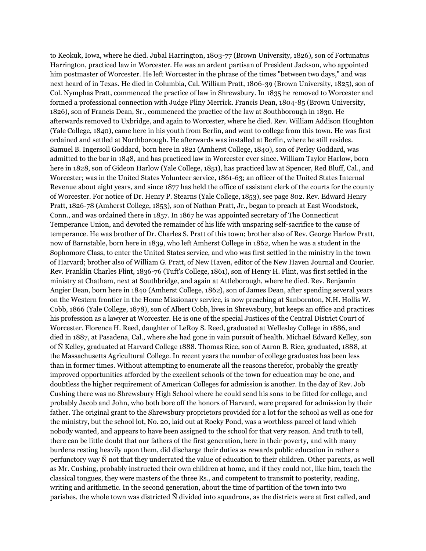to Keokuk, Iowa, where he died. Jubal Harrington, 1803-77 (Brown University, 1826), son of Fortunatus Harrington, practiced law in Worcester. He was an ardent partisan of President Jackson, who appointed him postmaster of Worcester. He left Worcester in the phrase of the times "between two days," and was next heard of in Texas. He died in Columbia, Cal. William Pratt, 1806-39 (Brown University, 1825), son of Col. Nymphas Pratt, commenced the practice of law in Shrewsbury. In 1835 he removed to Worcester and formed a professional connection with Judge Pliny Merrick. Francis Dean, 1804-85 (Brown University, 1826), son of Francis Dean, Sr., commenced the practice of the law at Southborough in 1830. He afterwards removed to Uxbridge, and again to Worcester, where he died. Rev. William Addison Houghton (Yale College, 1840), came here in his youth from Berlin, and went to college from this town. He was first ordained and settled at Northborough. He afterwards was installed at Berlin, where he still resides. Samuel B. Ingersoll Goddard, born here in 1821 (Amherst College, 1840), son of Perley Goddard, was admitted to the bar in 1848, and has practiced law in Worcester ever since. William Taylor Harlow, born here in 1828, son of Gideon Harlow (Yale College, 1851), has practiced law at Spencer, Red Bluff, Cal., and Worcester; was in the United States Volunteer service, 1861-63; an officer of the United States Internal Revenue about eight years, and since 1877 has held the office of assistant clerk of the courts for the county of Worcester. For notice of Dr. Henry P. Stearns (Yale College, 1853), see page 802. Rev. Edward Henry Pratt, 1826-78 (Amherst College, 1853), son of Nathan Pratt, Jr., began to preach at East Woodstock, Conn., and was ordained there in 1857. In 1867 he was appointed secretary of The Connecticut Temperance Union, and devoted the remainder of his life with unsparing self-sacrifice to the cause of temperance. He was brother of Dr. Charles S. Pratt of this town; brother also of Rev. George Harlow Pratt, now of Barnstable, born here in 1839, who left Amherst College in 1862, when he was a student in the Sophomore Class, to enter the United States service, and who was first settled in the ministry in the town of Harvard; brother also of William G. Pratt, of New Haven, editor of the New Haven Journal and Courier. Rev. Franklin Charles Flint, 1836-76 (Tuft's College, 1861), son of Henry H. Flint, was first settled in the ministry at Chatham, next at Southbridge, and again at Attleborough, where he died. Rev. Benjamin Angier Dean, born here in 1840 (Amherst College, 1862), son of James Dean, after spending several years on the Western frontier in the Home Missionary service, is now preaching at Sanbornton, N.H. Hollis W. Cobb, 1866 (Yale College, 1878), son of Albert Cobb, lives in Shrewsbury, but keeps an office and practices his profession as a lawyer at Worcester. He is one of the special Justices of the Central District Court of Worcester. Florence H. Reed, daughter of LeRoy S. Reed, graduated at Wellesley College in 1886, and died in 1887, at Pasadena, Cal., where she had gone in vain pursuit of health. Michael Edward Kelley, son of Ñ Kelley, graduated at Harvard College 1888. Thomas Rice, son of Aaron B. Rice, graduated, 1888, at the Massachusetts Agricultural College. In recent years the number of college graduates has been less than in former times. Without attempting to enumerate all the reasons therefor, probably the greatly improved opportunities afforded by the excellent schools of the town for education may be one, and doubtless the higher requirement of American Colleges for admission is another. In the day of Rev. Job Cushing there was no Shrewsbury High School where he could send his sons to be fitted for college, and probably Jacob and John, who both bore off the honors of Harvard, were prepared for admission by their father. The original grant to the Shrewsbury proprietors provided for a lot for the school as well as one for the ministry, but the school lot, No. 20, laid out at Rocky Pond, was a worthless parcel of land which nobody wanted, and appears to have been assigned to the school for that very reason. And truth to tell, there can be little doubt that our fathers of the first generation, here in their poverty, and with many burdens resting heavily upon them, did discharge their duties as rewards public education in rather a perfunctory way Ñ not that they underrated the value of education to their children. Other parents, as well as Mr. Cushing, probably instructed their own children at home, and if they could not, like him, teach the classical tongues, they were masters of the three Rs., and competent to transmit to posterity, reading, writing and arithmetic. In the second generation, about the time of partition of the town into two parishes, the whole town was districted Ñ divided into squadrons, as the districts were at first called, and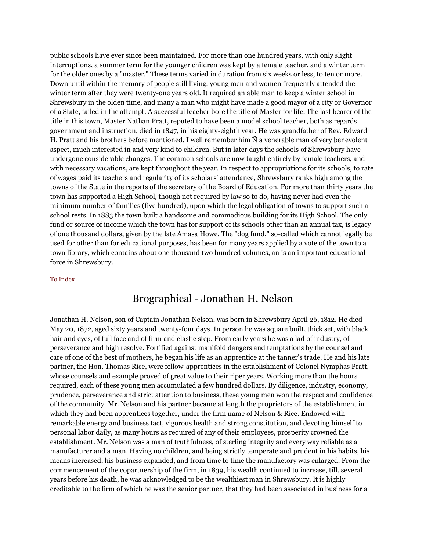public schools have ever since been maintained. For more than one hundred years, with only slight interruptions, a summer term for the younger children was kept by a female teacher, and a winter term for the older ones by a "master." These terms varied in duration from six weeks or less, to ten or more. Down until within the memory of people still living, young men and women frequently attended the winter term after they were twenty-one years old. It required an able man to keep a winter school in Shrewsbury in the olden time, and many a man who might have made a good mayor of a city or Governor of a State, failed in the attempt. A successful teacher bore the title of Master for life. The last bearer of the title in this town, Master Nathan Pratt, reputed to have been a model school teacher, both as regards government and instruction, died in 1847, in his eighty-eighth year. He was grandfather of Rev. Edward H. Pratt and his brothers before mentioned. I well remember him Ñ a venerable man of very benevolent aspect, much interested in and very kind to children. But in later days the schools of Shrewsbury have undergone considerable changes. The common schools are now taught entirely by female teachers, and with necessary vacations, are kept throughout the year. In respect to appropriations for its schools, to rate of wages paid its teachers and regularity of its scholars' attendance, Shrewsbury ranks high among the towns of the State in the reports of the secretary of the Board of Education. For more than thirty years the town has supported a High School, though not required by law so to do, having never had even the minimum number of families (five hundred), upon which the legal obligation of towns to support such a school rests. In 1883 the town built a handsome and commodious building for its High School. The only fund or source of income which the town has for support of its schools other than an annual tax, is legacy of one thousand dollars, given by the late Amasa Howe. The "dog fund," so-called which cannot legally be used for other than for educational purposes, has been for many years applied by a vote of the town to a town library, which contains about one thousand two hundred volumes, an is an important educational force in Shrewsbury.

### [To Index](http://www.shrewsburyhistoricalsociety.org/history-1889/#index)

### Brographical - Jonathan H. Nelson

Jonathan H. Nelson, son of Captain Jonathan Nelson, was born in Shrewsbury April 26, 1812. He died May 20, 1872, aged sixty years and twenty-four days. In person he was square built, thick set, with black hair and eyes, of full face and of firm and elastic step. From early years he was a lad of industry, of perseverance and high resolve. Fortified against manifold dangers and temptations by the counsel and care of one of the best of mothers, he began his life as an apprentice at the tanner's trade. He and his late partner, the Hon. Thomas Rice, were fellow-apprentices in the establishment of Colonel Nymphas Pratt, whose counsels and example proved of great value to their riper years. Working more than the hours required, each of these young men accumulated a few hundred dollars. By diligence, industry, economy, prudence, perseverance and strict attention to business, these young men won the respect and confidence of the community. Mr. Nelson and his partner became at length the proprietors of the establishment in which they had been apprentices together, under the firm name of Nelson & Rice. Endowed with remarkable energy and business tact, vigorous health and strong constitution, and devoting himself to personal labor daily, as many hours as required of any of their employees, prosperity crowned the establishment. Mr. Nelson was a man of truthfulness, of sterling integrity and every way reliable as a manufacturer and a man. Having no children, and being strictly temperate and prudent in his habits, his means increased, his business expanded, and from time to time the manufactory was enlarged. From the commencement of the copartnership of the firm, in 1839, his wealth continued to increase, till, several years before his death, he was acknowledged to be the wealthiest man in Shrewsbury. It is highly creditable to the firm of which he was the senior partner, that they had been associated in business for a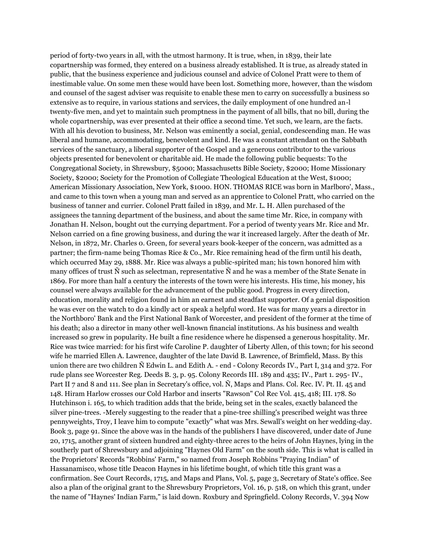period of forty-two years in all, with the utmost harmony. It is true, when, in 1839, their late copartnership was formed, they entered on a business already established. It is true, as already stated in public, that the business experience and judicious counsel and advice of Colonel Pratt were to them of inestimable value. On some men these would have been lost. Something more, however, than the wisdom and counsel of the sagest adviser was requisite to enable these men to carry on successfully a business so extensive as to require, in various stations and services, the daily employment of one hundred an-l twenty-five men, and yet to maintain such promptness in the payment of all bills, that no bill, during the whole copartnership, was ever presented at their office a second time. Yet such, we learn, are the facts. With all his devotion to business, Mr. Nelson was eminently a social, genial, condescending man. He was liberal and humane, accommodating, benevolent and kind. He was a constant attendant on the Sabbath services of the sanctuary, a liberal supporter of the Gospel and a generous contributor to the various objects presented for benevolent or charitable aid. He made the following public bequests: To the Congregational Society, in Shrewsbury, \$5000; Massachusetts Bible Society, \$2000; Home Missionary Society, \$2000; Society for the Promotion of Collegiate Theological Education at the West, \$1000; American Missionary Association, New York, \$1000. HON. THOMAS RICE was born in Marlboro', Mass., and came to this town when a young man and served as an apprentice to Colonel Pratt, who carried on the business of tanner and currier. Colonel Pratt failed in 1839, and Mr. L. H. Allen purchased of the assignees the tanning department of the business, and about the same time Mr. Rice, in company with Jonathan H. Nelson, bought out the currying department. For a period of twenty years Mr. Rice and Mr. Nelson carried on a fine growing business, and during the war it increased largely. After the death of Mr. Nelson, in 1872, Mr. Charles 0. Green, for several years book-keeper of the concern, was admitted as a partner; the firm-name being Thomas Rice & Co., Mr. Rice remaining head of the firm until his death, which occurred May 29, 1888. Mr. Rice was always a public-spirited man; his town honored him with many offices of trust Ñ such as selectman, representative Ñ and he was a member of the State Senate in 1869. For more than half a century the interests of the town were his interests. His time, his money, his counsel were always available for the advancement of the public good. Progress in every direction, education, morality and religion found in him an earnest and steadfast supporter. Of a genial disposition he was ever on the watch to do a kindly act or speak a helpful word. He was for many years a director in the Northboro' Bank and the First National Bank of Worcester, and president of the former at the time of his death; also a director in many other well-known financial institutions. As his business and wealth increased so grew in popularity. He built a fine residence where he dispensed a generous hospitality. Mr. Rice was twice married: for his first wife Caroline P. daughter of Liberty Allen, of this town; for his second wife he married Ellen A. Lawrence, daughter of the late David B. Lawrence, of Brimfield, Mass. By this union there are two children Ñ Edwin L. and Edith A. - end - Colony Records IV., Part I, 314 and 372. For rude plans see Worcester Reg. Deeds B. 3, p. 95. Colony Records III. 189 and 435; IV., Part 1. 295- IV., Part II 7 and 8 and 111. See plan in Secretary's office, vol. Ñ, Maps and Plans. Col. Rec. IV. Pt. II. 45 and 148. Hiram Harlow crosses our Cold Harbor and inserts "Rawson" Col Rec Vol. 415, 418; III. 178. So Hutchinson i. 165, to which tradition adds that the bride, being set in the scales, exactly balanced the silver pine-trees. -Merely suggesting to the reader that a pine-tree shilling's prescribed weight was three pennyweights, Troy, I leave him to compute "exactly" what was Mrs. Sewall's weight on her wedding-day. Book 3, page 91. Since the above was in the hands of the publishers I have discovered, under date of June 20, 1715, another grant of sixteen hundred and eighty-three acres to the heirs of John Haynes, lying in the southerly part of Shrewsbury and adjoining "Haynes Old Farm" on the south side. This is what is called in the Proprietors' Records "Robbins' Farm," so named from Joseph Robbins "Praying Indian" of Hassanamisco, whose title Deacon Haynes in his lifetime bought, of which title this grant was a confirmation. See Court Records, 1715, and Maps and Plans, Vol. 5, page 3, Secretary of State's office. See also a plan of the original grant to the Shrewsbury Proprietors, Vol. 16, p. 518, on which this grant, under the name of "Haynes' Indian Farm," is laid down. Roxbury and Springfield. Colony Records, V. 394 Now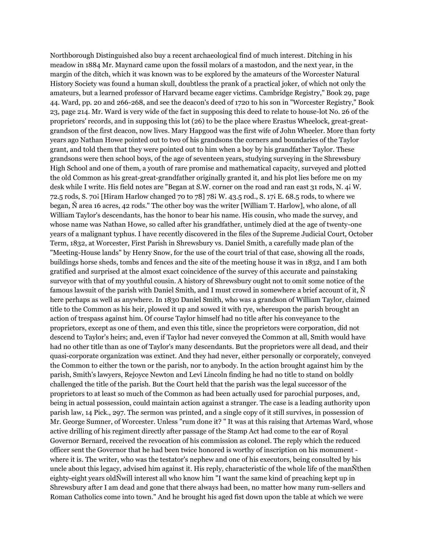Northborough Distinguished also buy a recent archaeological find of much interest. Ditching in his meadow in 1884 Mr. Maynard came upon the fossil molars of a mastodon, and the next year, in the margin of the ditch, which it was known was to be explored by the amateurs of the Worcester Natural History Society was found a human skull, doubtless the prank of a practical joker, of which not only the amateurs, but a learned professor of Harvard became eager victims. Cambridge Registry," Book 29, page 44. Ward, pp. 20 and 266-268, and see the deacon's deed of 1720 to his son in "Worcester Registry," Book 23, page 214. Mr. Ward is very wide of the fact in supposing this deed to relate to house-lot No. 26 of the proprietors' records, and in supposing this lot (26) to be the place where Erastus Wheelock, great-greatgrandson of the first deacon, now lives. Mary Hapgood was the first wife of John Wheeler. More than forty years ago Nathan Howe pointed out to two of his grandsons the corners and boundaries of the Taylor grant, and told them that they were pointed out to him when a boy by his grandfather Taylor. These grandsons were then school boys, of the age of seventeen years, studying surveying in the Shrewsbury High School and one of them, a youth of rare promise and mathematical capacity, surveyed and plotted the old Common as his great-great-grandfather originally granted it, and his plot lies before me on my desk while I write. His field notes are "Began at S.W. corner on the road and ran east 31 rods, N. 4i W. 72.5 rods, S. 70¡ [Hiram Harlow changed 70 to 78] 78¡ W. 43.5 rod., S. 17¡ E. 68.5 rods, to where we began, Ñ area 16 acres, 42 rods." The other boy was the writer [William T. Harlow], who alone, of all William Taylor's descendants, has the honor to bear his name. His cousin, who made the survey, and whose name was Nathan Howe, so called after his grandfather, untimely died at the age of twenty-one years of a malignant typhus. I have recently discovered in the files of the Supreme Judicial Court, October Term, 1832, at Worcester, First Parish in Shrewsbury vs. Daniel Smith, a carefully made plan of the "Meeting-House lands" by Henry Snow, for the use of the court trial of that case, showing all the roads, buildings horse sheds, tombs and fences and the site of the meeting house it was in 1832, and I am both gratified and surprised at the almost exact coincidence of the survey of this accurate and painstaking surveyor with that of my youthful cousin. A history of Shrewsbury ought not to omit some notice of the famous lawsuit of the parish with Daniel Smith, and I must crowd in somewhere a brief account of it, Ñ here perhaps as well as anywhere. In 1830 Daniel Smith, who was a grandson of William Taylor, claimed title to the Common as his heir, plowed it up and sowed it with rye, whereupon the parish brought an action of trespass against him. Of course Taylor himself had no title after his conveyance to the proprietors, except as one of them, and even this title, since the proprietors were corporation, did not descend to Taylor's heirs; and, even if Taylor had never conveyed the Common at all, Smith would have had no other title than as one of Taylor's many descendants. But the proprietors were all dead, and their quasi-corporate organization was extinct. And they had never, either personally or corporately, conveyed the Common to either the town or the parish, nor to anybody. In the action brought against him by the parish, Smith's lawyers, Rejoyce Newton and Levi Lincoln finding he had no title to stand on boldly challenged the title of the parish. But the Court held that the parish was the legal successor of the proprietors to at least so much of the Common as had been actually used for parochial purposes, and, being in actual possession, could maintain action against a stranger. The case is a leading authority upon parish law, 14 Pick., 297. The sermon was printed, and a single copy of it still survives, in possession of Mr. George Sumner, of Worcester. Unless "rum done it? " It was at this raising that Artemas Ward, whose active drilling of his regiment directly after passage of the Stamp Act had come to the ear of Royal Governor Bernard, received the revocation of his commission as colonel. The reply which the reduced officer sent the Governor that he had been twice honored is worthy of inscription on his monument where it is. The writer, who was the testator's nephew and one of his executors, being consulted by his uncle about this legacy, advised him against it. His reply, characteristic of the whole life of the manÑthen eighty-eight years oldÑwill interest all who know him "I want the same kind of preaching kept up in Shrewsbury after I am dead and gone that there always had been, no matter how many rum-sellers and Roman Catholics come into town." And he brought his aged fist down upon the table at which we were